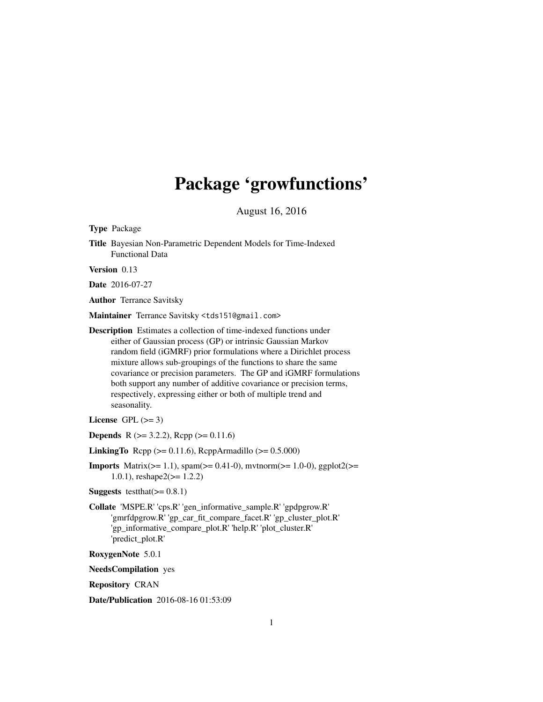# Package 'growfunctions'

August 16, 2016

Type Package

Title Bayesian Non-Parametric Dependent Models for Time-Indexed Functional Data

Version 0.13

Date 2016-07-27

Author Terrance Savitsky

Maintainer Terrance Savitsky <tds151@gmail.com>

Description Estimates a collection of time-indexed functions under either of Gaussian process (GP) or intrinsic Gaussian Markov random field (iGMRF) prior formulations where a Dirichlet process mixture allows sub-groupings of the functions to share the same covariance or precision parameters. The GP and iGMRF formulations both support any number of additive covariance or precision terms, respectively, expressing either or both of multiple trend and seasonality.

License GPL  $(>= 3)$ 

**Depends** R ( $>= 3.2.2$ ), Rcpp ( $>= 0.11.6$ )

**LinkingTo** Rcpp ( $>= 0.11.6$ ), RcppArmadillo ( $>= 0.5.000$ )

**Imports** Matrix( $>= 1.1$ ), spam( $>= 0.41$ -0), mvtnorm( $>= 1.0$ -0), ggplot2( $>=$ 1.0.1), reshape2(>= 1.2.2)

**Suggests** testthat $(>= 0.8.1)$ 

Collate 'MSPE.R' 'cps.R' 'gen\_informative\_sample.R' 'gpdpgrow.R' 'gmrfdpgrow.R' 'gp\_car\_fit\_compare\_facet.R' 'gp\_cluster\_plot.R' 'gp\_informative\_compare\_plot.R' 'help.R' 'plot\_cluster.R' 'predict\_plot.R'

RoxygenNote 5.0.1

NeedsCompilation yes

Repository CRAN

Date/Publication 2016-08-16 01:53:09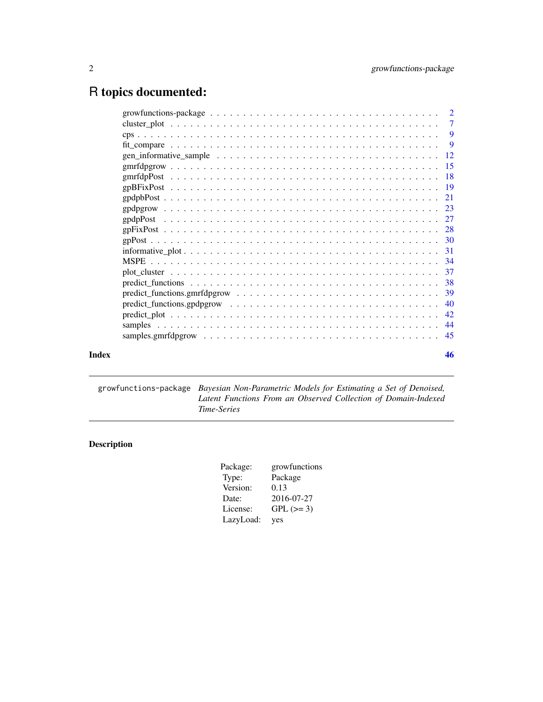# <span id="page-1-0"></span>R topics documented:

|       | growfunctions-package $\ldots \ldots \ldots \ldots \ldots \ldots \ldots \ldots \ldots \ldots \ldots \ldots 2$ |    |
|-------|---------------------------------------------------------------------------------------------------------------|----|
|       |                                                                                                               |    |
|       |                                                                                                               |    |
|       |                                                                                                               |    |
|       |                                                                                                               |    |
|       |                                                                                                               |    |
|       |                                                                                                               |    |
|       |                                                                                                               |    |
|       |                                                                                                               |    |
|       |                                                                                                               |    |
|       |                                                                                                               |    |
|       |                                                                                                               |    |
|       |                                                                                                               |    |
|       |                                                                                                               |    |
|       |                                                                                                               |    |
|       |                                                                                                               |    |
|       |                                                                                                               |    |
|       |                                                                                                               |    |
|       |                                                                                                               |    |
|       |                                                                                                               |    |
|       |                                                                                                               |    |
|       |                                                                                                               |    |
| Index |                                                                                                               | 46 |
|       |                                                                                                               |    |

growfunctions-package *Bayesian Non-Parametric Models for Estimating a Set of Denoised, Latent Functions From an Observed Collection of Domain-Indexed Time-Series*

# Description

| Package:  | growfunctions |
|-----------|---------------|
| Type:     | Package       |
| Version:  | 0.13          |
| Date:     | 2016-07-27    |
| License:  | $GPL (= 3)$   |
| LazyLoad: | yes           |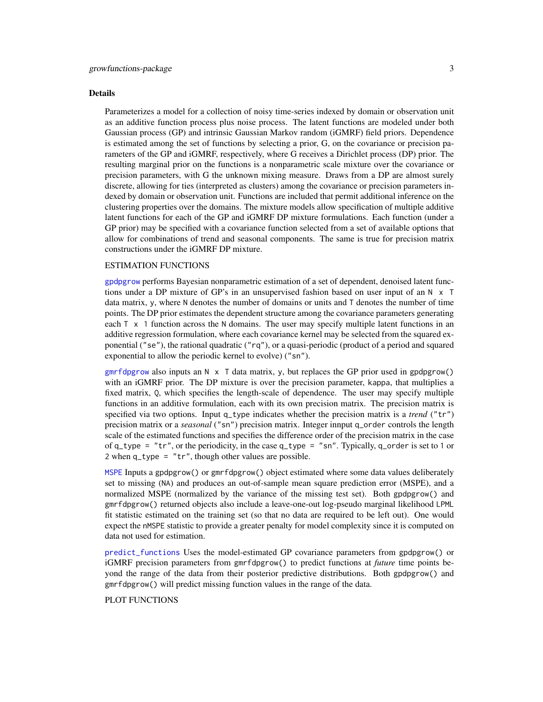#### <span id="page-2-0"></span>Details

Parameterizes a model for a collection of noisy time-series indexed by domain or observation unit as an additive function process plus noise process. The latent functions are modeled under both Gaussian process (GP) and intrinsic Gaussian Markov random (iGMRF) field priors. Dependence is estimated among the set of functions by selecting a prior, G, on the covariance or precision parameters of the GP and iGMRF, respectively, where G receives a Dirichlet process (DP) prior. The resulting marginal prior on the functions is a nonparametric scale mixture over the covariance or precision parameters, with G the unknown mixing measure. Draws from a DP are almost surely discrete, allowing for ties (interpreted as clusters) among the covariance or precision parameters indexed by domain or observation unit. Functions are included that permit additional inference on the clustering properties over the domains. The mixture models allow specification of multiple additive latent functions for each of the GP and iGMRF DP mixture formulations. Each function (under a GP prior) may be specified with a covariance function selected from a set of available options that allow for combinations of trend and seasonal components. The same is true for precision matrix constructions under the iGMRF DP mixture.

#### ESTIMATION FUNCTIONS

[gpdpgrow](#page-22-1) performs Bayesian nonparametric estimation of a set of dependent, denoised latent functions under a DP mixture of GP's in an unsupervised fashion based on user input of an N x T data matrix, y, where N denotes the number of domains or units and T denotes the number of time points. The DP prior estimates the dependent structure among the covariance parameters generating each  $T \times 1$  function across the N domains. The user may specify multiple latent functions in an additive regression formulation, where each covariance kernel may be selected from the squared exponential ("se"), the rational quadratic ("rq"), or a quasi-periodic (product of a period and squared exponential to allow the periodic kernel to evolve) ("sn").

[gmrfdpgrow](#page-14-1) also inputs an  $N \times T$  data matrix, y, but replaces the GP prior used in gpdpgrow() with an iGMRF prior. The DP mixture is over the precision parameter, kappa, that multiplies a fixed matrix, Q, which specifies the length-scale of dependence. The user may specify multiple functions in an additive formulation, each with its own precision matrix. The precision matrix is specified via two options. Input q\_type indicates whether the precision matrix is a *trend* ("tr") precision matrix or a *seasonal* ("sn") precision matrix. Integer innput q\_order controls the length scale of the estimated functions and specifies the difference order of the precision matrix in the case of q\_type = "tr", or the periodicity, in the case q\_type = "sn". Typically, q\_order is set to 1 or 2 when q\_type = "tr", though other values are possible.

[MSPE](#page-33-1) Inputs a gpdpgrow() or gmrfdpgrow() object estimated where some data values deliberately set to missing (NA) and produces an out-of-sample mean square prediction error (MSPE), and a normalized MSPE (normalized by the variance of the missing test set). Both gpdpgrow() and gmrfdpgrow() returned objects also include a leave-one-out log-pseudo marginal likelihood LPML fit statistic estimated on the training set (so that no data are required to be left out). One would expect the nMSPE statistic to provide a greater penalty for model complexity since it is computed on data not used for estimation.

[predict\\_functions](#page-37-1) Uses the model-estimated GP covariance parameters from gpdpgrow() or iGMRF precision parameters from gmrfdpgrow() to predict functions at *future* time points beyond the range of the data from their posterior predictive distributions. Both gpdpgrow() and gmrfdpgrow() will predict missing function values in the range of the data.

# PLOT FUNCTIONS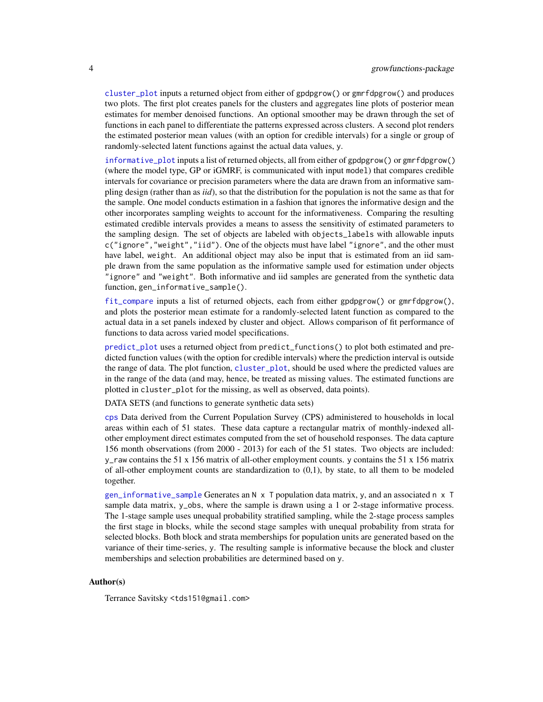<span id="page-3-0"></span>[cluster\\_plot](#page-6-1) inputs a returned object from either of gpdpgrow() or gmrfdpgrow() and produces two plots. The first plot creates panels for the clusters and aggregates line plots of posterior mean estimates for member denoised functions. An optional smoother may be drawn through the set of functions in each panel to differentiate the patterns expressed across clusters. A second plot renders the estimated posterior mean values (with an option for credible intervals) for a single or group of randomly-selected latent functions against the actual data values, y.

[informative\\_plot](#page-30-1) inputs a list of returned objects, all from either of gpdpgrow() or gmrfdpgrow() (where the model type, GP or iGMRF, is communicated with input model) that compares credible intervals for covariance or precision parameters where the data are drawn from an informative sampling design (rather than as *iid*), so that the distribution for the population is not the same as that for the sample. One model conducts estimation in a fashion that ignores the informative design and the other incorporates sampling weights to account for the informativeness. Comparing the resulting estimated credible intervals provides a means to assess the sensitivity of estimated parameters to the sampling design. The set of objects are labeled with objects\_labels with allowable inputs c("ignore","weight","iid"). One of the objects must have label "ignore", and the other must have label, weight. An additional object may also be input that is estimated from an iid sample drawn from the same population as the informative sample used for estimation under objects "ignore" and "weight". Both informative and iid samples are generated from the synthetic data function, gen\_informative\_sample().

[fit\\_compare](#page-8-1) inputs a list of returned objects, each from either gpdpgrow() or gmrfdpgrow(), and plots the posterior mean estimate for a randomly-selected latent function as compared to the actual data in a set panels indexed by cluster and object. Allows comparison of fit performance of functions to data across varied model specifications.

[predict\\_plot](#page-41-1) uses a returned object from predict\_functions() to plot both estimated and predicted function values (with the option for credible intervals) where the prediction interval is outside the range of data. The plot function, [cluster\\_plot](#page-6-1), should be used where the predicted values are in the range of the data (and may, hence, be treated as missing values. The estimated functions are plotted in cluster\_plot for the missing, as well as observed, data points).

DATA SETS (and functions to generate synthetic data sets)

[cps](#page-8-2) Data derived from the Current Population Survey (CPS) administered to households in local areas within each of 51 states. These data capture a rectangular matrix of monthly-indexed allother employment direct estimates computed from the set of household responses. The data capture 156 month observations (from 2000 - 2013) for each of the 51 states. Two objects are included: y\_raw contains the 51 x 156 matrix of all-other employment counts. y contains the 51 x 156 matrix of all-other employment counts are standardization to  $(0,1)$ , by state, to all them to be modeled together.

[gen\\_informative\\_sample](#page-11-1) Generates an  $N \times T$  population data matrix, y, and an associated  $n \times T$ sample data matrix, y\_obs, where the sample is drawn using a 1 or 2-stage informative process. The 1-stage sample uses unequal probability stratified sampling, while the 2-stage process samples the first stage in blocks, while the second stage samples with unequal probability from strata for selected blocks. Both block and strata memberships for population units are generated based on the variance of their time-series, y. The resulting sample is informative because the block and cluster memberships and selection probabilities are determined based on y.

#### Author(s)

Terrance Savitsky <tds151@gmail.com>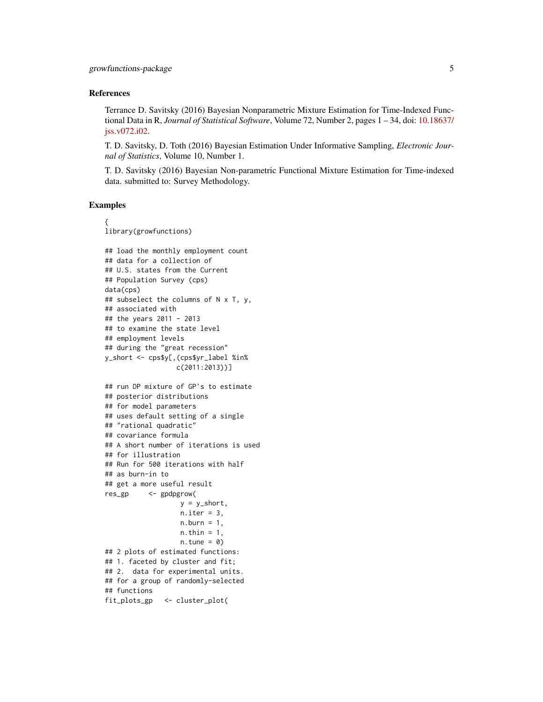#### References

Terrance D. Savitsky (2016) Bayesian Nonparametric Mixture Estimation for Time-Indexed Functional Data in R, *Journal of Statistical Software*, Volume 72, Number 2, pages 1 – 34, doi: [10.18637/](http://doi.org/10.18637/jss.v072.i02) [jss.v072.i02.](http://doi.org/10.18637/jss.v072.i02)

T. D. Savitsky, D. Toth (2016) Bayesian Estimation Under Informative Sampling, *Electronic Journal of Statistics*, Volume 10, Number 1.

T. D. Savitsky (2016) Bayesian Non-parametric Functional Mixture Estimation for Time-indexed data. submitted to: Survey Methodology.

#### Examples

```
{
library(growfunctions)
## load the monthly employment count
## data for a collection of
## U.S. states from the Current
## Population Survey (cps)
data(cps)
```
## subselect the columns of  $N \times T$ , y, ## associated with ## the years 2011 - 2013 ## to examine the state level ## employment levels ## during the "great recession" y\_short <- cps\$y[,(cps\$yr\_label %in% c(2011:2013))]

```
## run DP mixture of GP's to estimate
## posterior distributions
## for model parameters
## uses default setting of a single
## "rational quadratic"
## covariance formula
## A short number of iterations is used
## for illustration
## Run for 500 iterations with half
## as burn-in to
## get a more useful result
res_gp <- gpdpgrow(
                  y = y_{short},
                  n.iter = 3,
                  n.burn = 1,
                  n.thin = 1,
                  n.tune = 0)## 2 plots of estimated functions:
## 1. faceted by cluster and fit;
## 2. data for experimental units.
## for a group of randomly-selected
## functions
fit_plots_gp <- cluster_plot(
```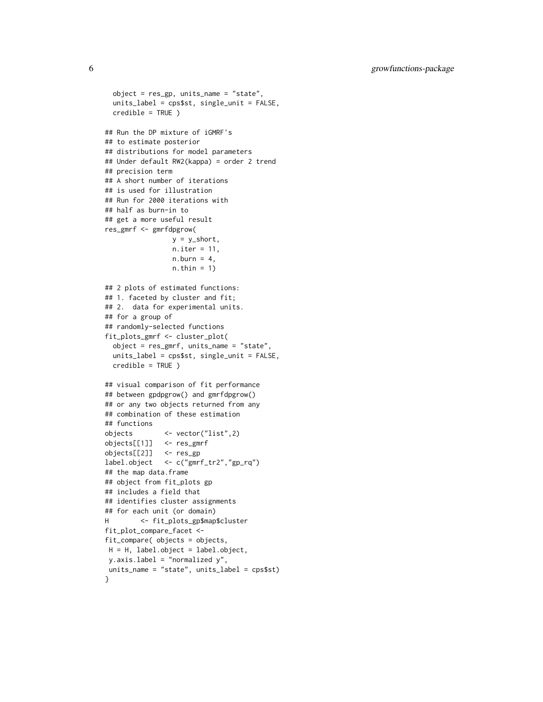6 growfunctions-package

```
object = res_gp, units_name = "state",
  units_label = cps$st, single_unit = FALSE,
  credible = TRUE )
## Run the DP mixture of iGMRF's
## to estimate posterior
## distributions for model parameters
## Under default RW2(kappa) = order 2 trend
## precision term
## A short number of iterations
## is used for illustration
## Run for 2000 iterations with
## half as burn-in to
## get a more useful result
res_gmrf <- gmrfdpgrow(
                 y = y_{short},
                 n.iter = 11,
                 n.burn = 4,
                 n.thin = 1)
## 2 plots of estimated functions:
## 1. faceted by cluster and fit;
## 2. data for experimental units.
## for a group of
## randomly-selected functions
fit_plots_gmrf <- cluster_plot(
  object = res_gmrf, units_name = "state",
  units_label = cps$st, single_unit = FALSE,
  credible = TRUE )
## visual comparison of fit performance
## between gpdpgrow() and gmrfdpgrow()
## or any two objects returned from any
## combination of these estimation
## functions
objects <- vector("list",2)
objects[[1]] <- res_gmrf
objects[[2]] <- res_gp
label.object <- c("gmrf_tr2","gp_rq")
## the map data.frame
## object from fit_plots gp
## includes a field that
## identifies cluster assignments
## for each unit (or domain)
H <- fit_plots_gp$map$cluster
fit_plot_compare_facet <-
fit_compare( objects = objects,
H = H, label.object = label.object,
y.axis.label = "normalized y",
units_name = "state", units_label = cps$st)
}
```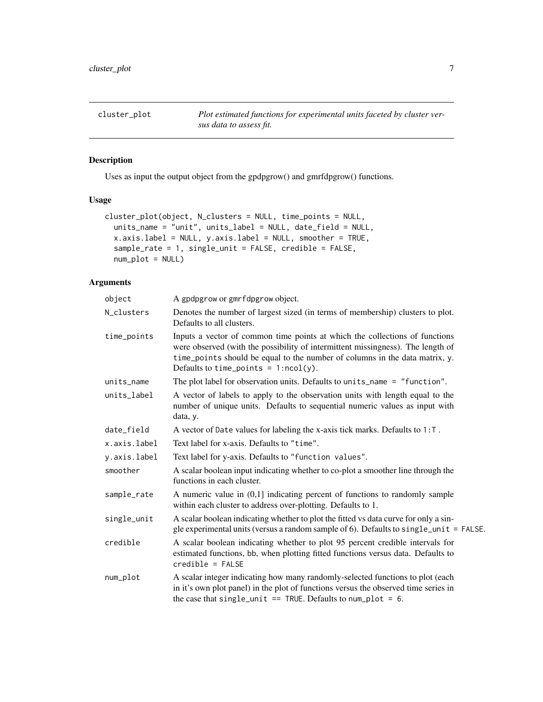<span id="page-6-1"></span><span id="page-6-0"></span>cluster\_plot *Plot estimated functions for experimental units faceted by cluster versus data to assess fit.*

# Description

Uses as input the output object from the gpdpgrow() and gmrfdpgrow() functions.

# Usage

```
cluster_plot(object, N_clusters = NULL, time_points = NULL,
 units_name = "unit", units_label = NULL, date_field = NULL,
 x.axis.label = NULL, y.axis.label = NULL, smoother = TRUE,
  sample_rate = 1, single_unit = FALSE, credible = FALSE,
  num_plot = NULL)
```

| object       | A gpdpgrow or gmrfdpgrow object.                                                                                                                                                                                                                                                         |
|--------------|------------------------------------------------------------------------------------------------------------------------------------------------------------------------------------------------------------------------------------------------------------------------------------------|
| N_clusters   | Denotes the number of largest sized (in terms of membership) clusters to plot.<br>Defaults to all clusters.                                                                                                                                                                              |
| time_points  | Inputs a vector of common time points at which the collections of functions<br>were observed (with the possibility of intermittent missingness). The length of<br>time_points should be equal to the number of columns in the data matrix, y.<br>Defaults to time_points = $1:ncol(y)$ . |
| units_name   | The plot label for observation units. Defaults to units_name = "function".                                                                                                                                                                                                               |
| units_label  | A vector of labels to apply to the observation units with length equal to the<br>number of unique units. Defaults to sequential numeric values as input with<br>data, y.                                                                                                                 |
| date_field   | A vector of Date values for labeling the x-axis tick marks. Defaults to 1:T.                                                                                                                                                                                                             |
| x.axis.label | Text label for x-axis. Defaults to "time".                                                                                                                                                                                                                                               |
| y.axis.label | Text label for y-axis. Defaults to "function values".                                                                                                                                                                                                                                    |
| smoother     | A scalar boolean input indicating whether to co-plot a smoother line through the<br>functions in each cluster.                                                                                                                                                                           |
| sample_rate  | A numeric value in $(0,1]$ indicating percent of functions to randomly sample<br>within each cluster to address over-plotting. Defaults to 1.                                                                                                                                            |
| single_unit  | A scalar boolean indicating whether to plot the fitted vs data curve for only a sin-<br>gle experimental units (versus a random sample of 6). Defaults to single_unit = FALSE.                                                                                                           |
| credible     | A scalar boolean indicating whether to plot 95 percent credible intervals for<br>estimated functions, bb, when plotting fitted functions versus data. Defaults to<br>$credible = FALSE$                                                                                                  |
| num_plot     | A scalar integer indicating how many randomly-selected functions to plot (each<br>in it's own plot panel) in the plot of functions versus the observed time series in<br>the case that single_unit == TRUE. Defaults to num_plot = $6$ .                                                 |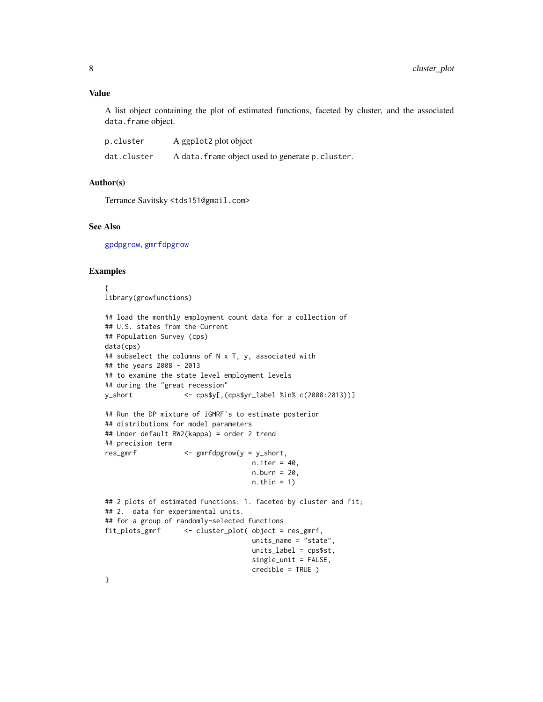#### <span id="page-7-0"></span>Value

A list object containing the plot of estimated functions, faceted by cluster, and the associated data.frame object.

| p.cluster   | A ggplot2 plot object                             |
|-------------|---------------------------------------------------|
| dat.cluster | A data. frame object used to generate p. cluster. |

#### Author(s)

Terrance Savitsky <tds151@gmail.com>

#### See Also

[gpdpgrow](#page-22-1), [gmrfdpgrow](#page-14-1)

#### Examples

{ library(growfunctions)

```
## load the monthly employment count data for a collection of
## U.S. states from the Current
## Population Survey (cps)
data(cps)
## subselect the columns of N x T, y, associated with
## the years 2008 - 2013
## to examine the state level employment levels
## during the "great recession"
y_short <- cps$y[,(cps$yr_label %in% c(2008:2013))]
## Run the DP mixture of iGMRF's to estimate posterior
## distributions for model parameters
## Under default RW2(kappa) = order 2 trend
## precision term
res_gmrf <- gmrfdpgrow(y = y_short,
                                    n.iter = 40,n.burn = 20,
                                    n.thin = 1)
## 2 plots of estimated functions: 1. faceted by cluster and fit;
## 2. data for experimental units.
## for a group of randomly-selected functions
fit_plots_gmrf <- cluster_plot( object = res_gmrf,
                                    units_name = "state",
                                    units_label = cps$st,
                                    single_unit = FALSE,
                                    credible = TRUE )
```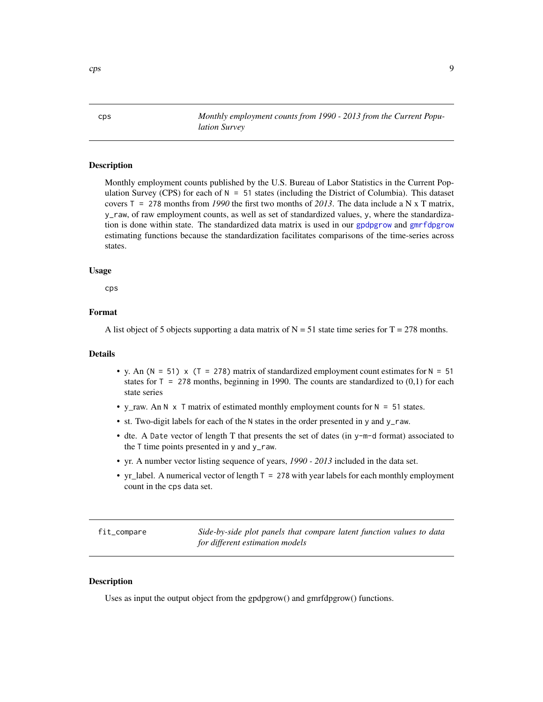<span id="page-8-2"></span><span id="page-8-0"></span>cps *Monthly employment counts from 1990 - 2013 from the Current Population Survey*

#### Description

Monthly employment counts published by the U.S. Bureau of Labor Statistics in the Current Population Survey (CPS) for each of  $N = 51$  states (including the District of Columbia). This dataset covers T = 278 months from *1990* the first two months of *2013*. The data include a N x T matrix, y\_raw, of raw employment counts, as well as set of standardized values, y, where the standardization is done within state. The standardized data matrix is used in our [gpdpgrow](#page-22-1) and [gmrfdpgrow](#page-14-1) estimating functions because the standardization facilitates comparisons of the time-series across states.

#### Usage

cps

# Format

A list object of 5 objects supporting a data matrix of  $N = 51$  state time series for T = 278 months.

#### Details

- y. An ( $N = 51$ ) x (T = 278) matrix of standardized employment count estimates for  $N = 51$ states for  $T = 278$  months, beginning in 1990. The counts are standardized to  $(0,1)$  for each state series
- y\_raw. An N  $\times$  T matrix of estimated monthly employment counts for N = 51 states.
- st. Two-digit labels for each of the N states in the order presented in y and y\_raw.
- dte. A Date vector of length T that presents the set of dates (in y-m-d format) associated to the T time points presented in y and y\_raw.
- yr. A number vector listing sequence of years, *1990 2013* included in the data set.
- yr\_label. A numerical vector of length T = 278 with year labels for each monthly employment count in the cps data set.

<span id="page-8-1"></span>fit\_compare *Side-by-side plot panels that compare latent function values to data for different estimation models*

#### Description

Uses as input the output object from the gpdpgrow() and gmrfdpgrow() functions.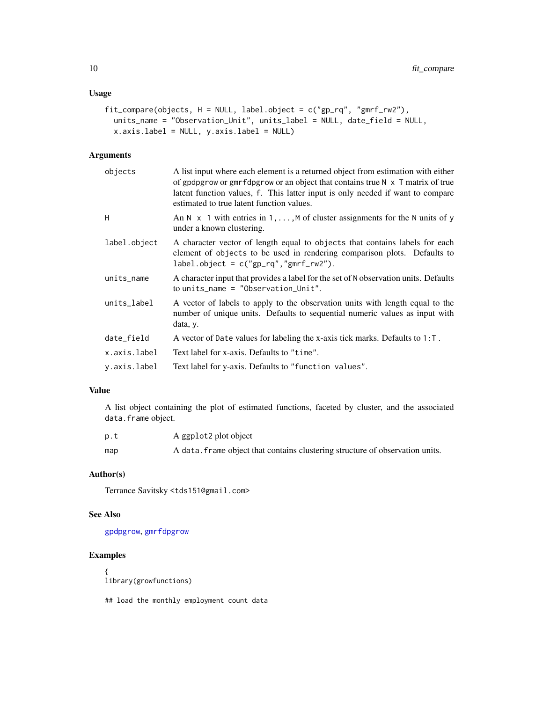#### <span id="page-9-0"></span>Usage

```
fit_compare(objects, H = NULL, label.object = c("gp_rq", "gmrf_rw2"),
 units_name = "Observation_Unit", units_label = NULL, date_field = NULL,
 x.axis.label = NULL, y.axis.label = NULL)
```
#### Arguments

| objects      | A list input where each element is a returned object from estimation with either<br>of gpdpgrow or gmrfdpgrow or an object that contains true $N \times T$ matrix of true<br>latent function values, f. This latter input is only needed if want to compare<br>estimated to true latent function values. |
|--------------|----------------------------------------------------------------------------------------------------------------------------------------------------------------------------------------------------------------------------------------------------------------------------------------------------------|
| H            | An N $\times$ 1 with entries in 1, , M of cluster assignments for the N units of y<br>under a known clustering.                                                                                                                                                                                          |
| label.object | A character vector of length equal to objects that contains labels for each<br>element of objects to be used in rendering comparison plots. Defaults to<br>$label. object = c("gp_rq", "gmrf_rw2").$                                                                                                     |
| units_name   | A character input that provides a label for the set of N observation units. Defaults<br>to units_name = $"Observation$ Unit".                                                                                                                                                                            |
| units_label  | A vector of labels to apply to the observation units with length equal to the<br>number of unique units. Defaults to sequential numeric values as input with<br>data, y.                                                                                                                                 |
| date_field   | A vector of Date values for labeling the x-axis tick marks. Defaults to $1: T$ .                                                                                                                                                                                                                         |
| x.axis.label | Text label for x-axis. Defaults to "time".                                                                                                                                                                                                                                                               |
| y.axis.label | Text label for y-axis. Defaults to "function values".                                                                                                                                                                                                                                                    |
|              |                                                                                                                                                                                                                                                                                                          |

# Value

A list object containing the plot of estimated functions, faceted by cluster, and the associated data.frame object.

| p.t | A ggplot2 plot object                                                         |
|-----|-------------------------------------------------------------------------------|
| map | A data, frame object that contains clustering structure of observation units. |

# Author(s)

Terrance Savitsky <tds151@gmail.com>

# See Also

[gpdpgrow](#page-22-1), [gmrfdpgrow](#page-14-1)

# Examples

{ library(growfunctions)

## load the monthly employment count data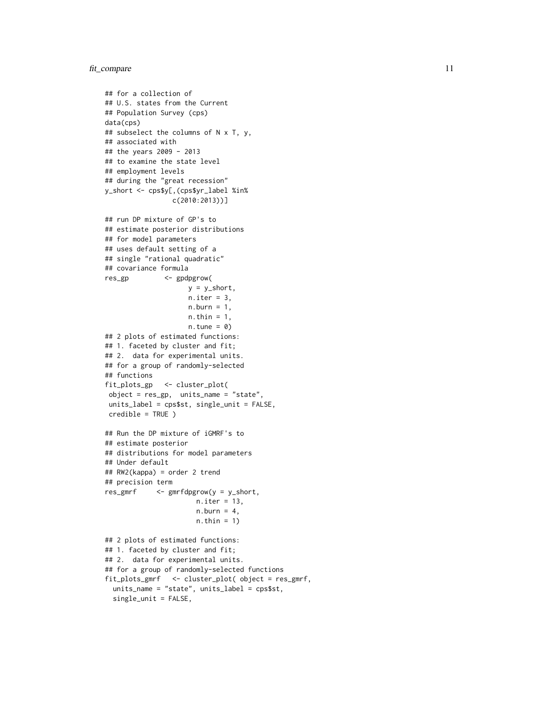#### fit\_compare 11

```
## for a collection of
## U.S. states from the Current
## Population Survey (cps)
data(cps)
## subselect the columns of N x T, y,
## associated with
## the years 2009 - 2013
## to examine the state level
## employment levels
## during the "great recession"
y_short <- cps$y[,(cps$yr_label %in%
                 c(2010:2013))]
## run DP mixture of GP's to
## estimate posterior distributions
## for model parameters
## uses default setting of a
## single "rational quadratic"
## covariance formula
res_gp <- gpdpgrow(
                    y = y_short,
                    n.iter = 3,
                    n.burn = 1,
                    n.thin = 1,
                    n.tune = 0)## 2 plots of estimated functions:
## 1. faceted by cluster and fit;
## 2. data for experimental units.
## for a group of randomly-selected
## functions
fit_plots_gp <- cluster_plot(
object = res_gp, units_name = "state",
 units_label = cps$st, single_unit = FALSE,
credible = TRUE )
## Run the DP mixture of iGMRF's to
## estimate posterior
## distributions for model parameters
## Under default
## RW2(kappa) = order 2 trend
## precision term
res_gmrf <- gmrfdpgrow(y = y_short,
                      n.iter = 13,
                       n.burn = 4,
                      n.thin = 1)
## 2 plots of estimated functions:
## 1. faceted by cluster and fit;
## 2. data for experimental units.
## for a group of randomly-selected functions
fit_plots_gmrf <- cluster_plot( object = res_gmrf,
  units_name = "state", units_label = cps$st,
  single_unit = FALSE,
```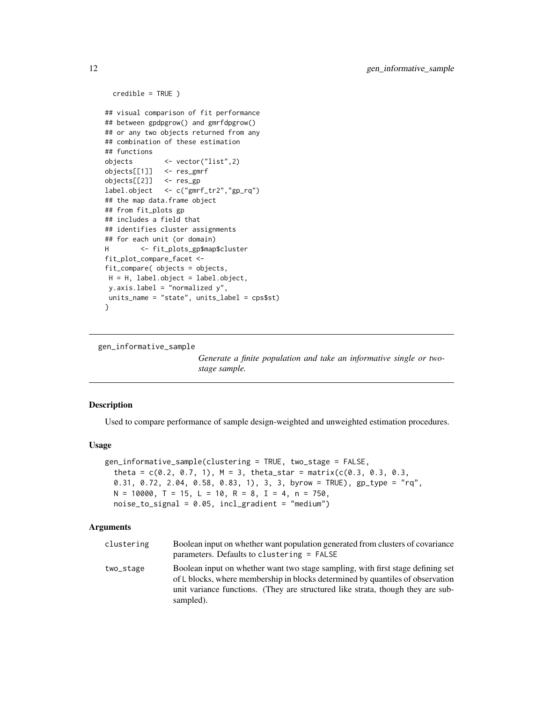```
credible = TRUE )
## visual comparison of fit performance
## between gpdpgrow() and gmrfdpgrow()
## or any two objects returned from any
## combination of these estimation
## functions
objects <- vector("list",2)
objects[[1]] <- res_gmrf
objects[[2]] <- res_gp
label.object <- c("gmrf_tr2","gp_rq")
## the map data.frame object
## from fit_plots gp
## includes a field that
## identifies cluster assignments
## for each unit (or domain)
H <- fit_plots_gp$map$cluster
fit_plot_compare_facet <-
fit_compare( objects = objects,
H = H, label.object = label.object,
y.axis.label = "normalized y",
units_name = "state", units_label = cps$st)
}
```

```
gen_informative_sample
```
*Generate a finite population and take an informative single or twostage sample.*

#### Description

Used to compare performance of sample design-weighted and unweighted estimation procedures.

#### Usage

```
gen_informative_sample(clustering = TRUE, two_stage = FALSE,
  theta = c(0.2, 0.7, 1), M = 3, theta_star = matrix(c(0.3, 0.3, 0.3, 0.3)0.31, 0.72, 2.04, 0.58, 0.83, 1), 3, 3, byrow = TRUE), gp_type = "rq",
 N = 10000, T = 15, L = 10, R = 8, I = 4, n = 750,
  noise_to_signal = 0.05, incl_gradient = "medium")
```

| clustering | Boolean input on whether want population generated from clusters of covariance<br>parameters. Defaults to clustering $=$ FALSE                                                                                                                                    |
|------------|-------------------------------------------------------------------------------------------------------------------------------------------------------------------------------------------------------------------------------------------------------------------|
| two_stage  | Boolean input on whether want two stage sampling, with first stage defining set<br>of L blocks, where membership in blocks determined by quantiles of observation<br>unit variance functions. (They are structured like strata, though they are sub-<br>sampled). |

<span id="page-11-0"></span>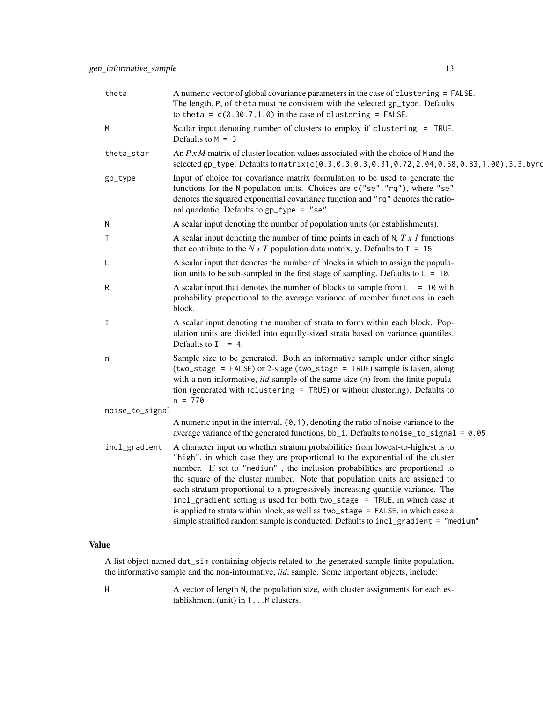| theta           | A numeric vector of global covariance parameters in the case of clustering = FALSE.<br>The length, P, of theta must be consistent with the selected gp_type. Defaults<br>to theta = $c(0.30.7, 1.0)$ in the case of clustering = FALSE.                                                                                                                                                                                                                                                                                                                                                                                                                                  |  |
|-----------------|--------------------------------------------------------------------------------------------------------------------------------------------------------------------------------------------------------------------------------------------------------------------------------------------------------------------------------------------------------------------------------------------------------------------------------------------------------------------------------------------------------------------------------------------------------------------------------------------------------------------------------------------------------------------------|--|
| M               | Scalar input denoting number of clusters to employ if clustering = TRUE.<br>Defaults to $M = 3$                                                                                                                                                                                                                                                                                                                                                                                                                                                                                                                                                                          |  |
| theta_star      | An $P x M$ matrix of cluster location values associated with the choice of M and the<br>selected gp_type. Defaults to matrix(c(0.3,0.3,0.3,0.31,0.72,2.04,0.58,0.83,1.00),3,3,byrd                                                                                                                                                                                                                                                                                                                                                                                                                                                                                       |  |
| gp_type         | Input of choice for covariance matrix formulation to be used to generate the<br>functions for the N population units. Choices are c("se", "rq"), where "se"<br>denotes the squared exponential covariance function and "rq" denotes the ratio-<br>nal quadratic. Defaults to gp_type = "se"                                                                                                                                                                                                                                                                                                                                                                              |  |
| N               | A scalar input denoting the number of population units (or establishments).                                                                                                                                                                                                                                                                                                                                                                                                                                                                                                                                                                                              |  |
| Τ               | A scalar input denoting the number of time points in each of $N$ , $Tx$ $I$ functions<br>that contribute to the N x T population data matrix, y. Defaults to $T = 15$ .                                                                                                                                                                                                                                                                                                                                                                                                                                                                                                  |  |
| L               | A scalar input that denotes the number of blocks in which to assign the popula-<br>tion units to be sub-sampled in the first stage of sampling. Defaults to $L = 10$ .                                                                                                                                                                                                                                                                                                                                                                                                                                                                                                   |  |
| R               | A scalar input that denotes the number of blocks to sample from $L = 10$ with<br>probability proportional to the average variance of member functions in each<br>block.                                                                                                                                                                                                                                                                                                                                                                                                                                                                                                  |  |
| I               | A scalar input denoting the number of strata to form within each block. Pop-<br>ulation units are divided into equally-sized strata based on variance quantiles.<br>Defaults to $I = 4$ .                                                                                                                                                                                                                                                                                                                                                                                                                                                                                |  |
| n               | Sample size to be generated. Both an informative sample under either single<br>(two_stage = FALSE) or 2-stage (two_stage = TRUE) sample is taken, along<br>with a non-informative, <i>iid</i> sample of the same size (n) from the finite popula-<br>tion (generated with (clustering = TRUE) or without clustering). Defaults to<br>$n = 770.$                                                                                                                                                                                                                                                                                                                          |  |
| noise_to_signal |                                                                                                                                                                                                                                                                                                                                                                                                                                                                                                                                                                                                                                                                          |  |
|                 | A numeric input in the interval, $(0, 1)$ , denoting the ratio of noise variance to the<br>average variance of the generated functions, $bb_i$ i. Defaults to noise_to_signal = 0.05                                                                                                                                                                                                                                                                                                                                                                                                                                                                                     |  |
| incl_gradient   | A character input on whether stratum probabilities from lowest-to-highest is to<br>"high", in which case they are proportional to the exponential of the cluster<br>number. If set to "medium", the inclusion probabilities are proportional to<br>the square of the cluster number. Note that population units are assigned to<br>each stratum proportional to a progressively increasing quantile variance. The<br>incl_gradient setting is used for both two_stage = TRUE, in which case it<br>is applied to strata within block, as well as two_stage = FALSE, in which case a<br>simple stratified random sample is conducted. Defaults to incl_gradient = "medium" |  |
|                 |                                                                                                                                                                                                                                                                                                                                                                                                                                                                                                                                                                                                                                                                          |  |

# Value

A list object named dat\_sim containing objects related to the generated sample finite population, the informative sample and the non-informative, *iid*, sample. Some important objects, include:

H A vector of length N, the population size, with cluster assignments for each establishment (unit) in 1, . . M clusters.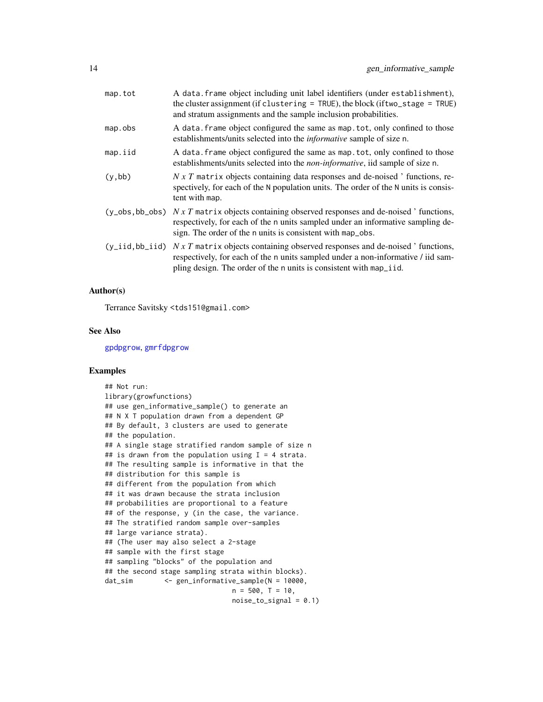<span id="page-13-0"></span>

| map.tot             | A data. frame object including unit label identifiers (under establishment),<br>the cluster assignment (if clustering = $TRUE$ ), the block (if two_stage = $TRUE$ )<br>and stratum assignments and the sample inclusion probabilities.                              |
|---------------------|----------------------------------------------------------------------------------------------------------------------------------------------------------------------------------------------------------------------------------------------------------------------|
| map.obs             | A data. frame object configured the same as map. tot, only confined to those<br>establishments/units selected into the <i>informative</i> sample of size n.                                                                                                          |
| map.iid             | A data. frame object configured the same as map. tot, only confined to those<br>establishments/units selected into the <i>non-informative</i> , iid sample of size n.                                                                                                |
| (y, bb)             | $N \times T$ matrix objects containing data responses and de-noised ' functions, re-<br>spectively, for each of the N population units. The order of the N units is consis-<br>tent with map.                                                                        |
|                     | $(y_{\text{-obs}}, bb_{\text{-obs}})$ N x T matrix objects containing observed responses and de-noised ' functions,<br>respectively, for each of the n units sampled under an informative sampling de-<br>sign. The order of the n units is consistent with map_obs. |
| $(y\_iid, bb\_iid)$ | $N \times T$ matrix objects containing observed responses and de-noised ' functions,<br>respectively, for each of the n units sampled under a non-informative / iid sam-<br>pling design. The order of the n units is consistent with map_iid.                       |

#### Author(s)

Terrance Savitsky <tds151@gmail.com>

#### See Also

[gpdpgrow](#page-22-1), [gmrfdpgrow](#page-14-1)

## Examples

```
## Not run:
library(growfunctions)
## use gen_informative_sample() to generate an
## N X T population drawn from a dependent GP
## By default, 3 clusters are used to generate
## the population.
## A single stage stratified random sample of size n
## is drawn from the population using I = 4 strata.
## The resulting sample is informative in that the
## distribution for this sample is
## different from the population from which
## it was drawn because the strata inclusion
## probabilities are proportional to a feature
## of the response, y (in the case, the variance.
## The stratified random sample over-samples
## large variance strata).
## (The user may also select a 2-stage
## sample with the first stage
## sampling "blocks" of the population and
## the second stage sampling strata within blocks).
dat_sim <- gen_informative_sample(N = 10000,
                               n = 500, T = 10,noise_to_signal = 0.1)
```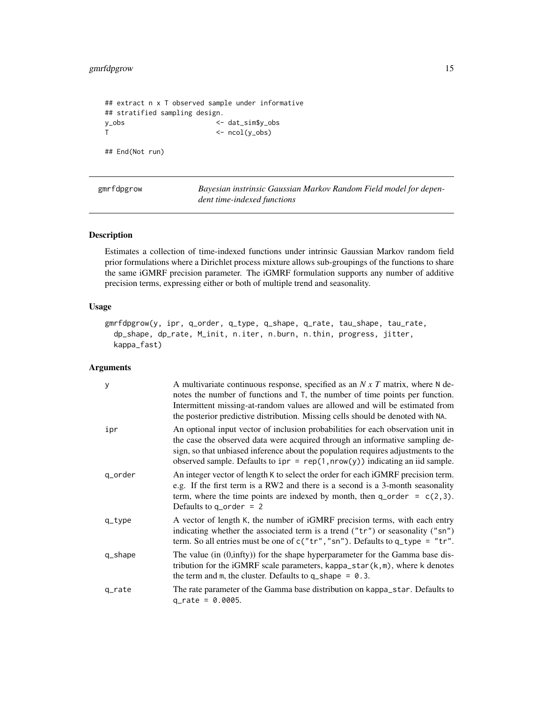# <span id="page-14-0"></span>gmrfdpgrow 15

```
## extract n x T observed sample under informative
## stratified sampling design.
y_obs <- dat_sim$y_obs
T <- ncol(y_obs)
## End(Not run)
```
<span id="page-14-1"></span>

gmrfdpgrow *Bayesian instrinsic Gaussian Markov Random Field model for dependent time-indexed functions*

#### Description

Estimates a collection of time-indexed functions under intrinsic Gaussian Markov random field prior formulations where a Dirichlet process mixture allows sub-groupings of the functions to share the same iGMRF precision parameter. The iGMRF formulation supports any number of additive precision terms, expressing either or both of multiple trend and seasonality.

#### Usage

```
gmrfdpgrow(y, ipr, q_order, q_type, q_shape, q_rate, tau_shape, tau_rate,
  dp_shape, dp_rate, M_init, n.iter, n.burn, n.thin, progress, jitter,
  kappa_fast)
```

| У       | A multivariate continuous response, specified as an $N x T$ matrix, where N de-<br>notes the number of functions and T, the number of time points per function.<br>Intermittent missing-at-random values are allowed and will be estimated from<br>the posterior predictive distribution. Missing cells should be denoted with NA.      |
|---------|-----------------------------------------------------------------------------------------------------------------------------------------------------------------------------------------------------------------------------------------------------------------------------------------------------------------------------------------|
| ipr     | An optional input vector of inclusion probabilities for each observation unit in<br>the case the observed data were acquired through an informative sampling de-<br>sign, so that unbiased inference about the population requires adjustments to the<br>observed sample. Defaults to $ipr = rep(1, nrow(y))$ indicating an iid sample. |
| q_order | An integer vector of length K to select the order for each iGMRF precision term.<br>e.g. If the first term is a RW2 and there is a second is a 3-month seasonality<br>term, where the time points are indexed by month, then $q_{\text{order}} = c(2,3)$ .<br>Defaults to q_order = $2$                                                 |
| q_type  | A vector of length K, the number of iGMRF precision terms, with each entry<br>indicating whether the associated term is a trend $("tr")$ or seasonality $("sn")$<br>term. So all entries must be one of $c("tr", "sn")$ . Defaults to $q_type = "tr".$                                                                                  |
| q_shape | The value (in (0,infty)) for the shape hyperparameter for the Gamma base dis-<br>tribution for the iGMRF scale parameters, kappa_star $(k, m)$ , where k denotes<br>the term and m, the cluster. Defaults to $q$ -shape = 0.3.                                                                                                          |
| q_rate  | The rate parameter of the Gamma base distribution on kappa_star. Defaults to<br>$q_{rate} = 0.0005$ .                                                                                                                                                                                                                                   |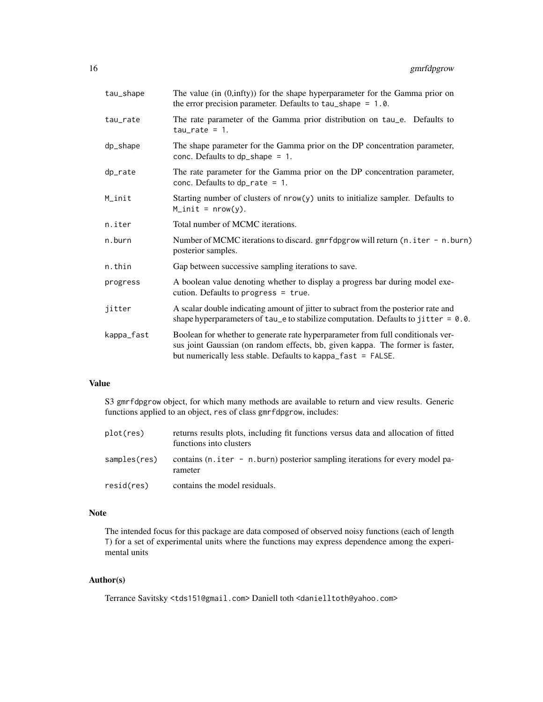| tau_shape  | The value (in $(0, \text{infty}))$ for the shape hyperparameter for the Gamma prior on<br>the error precision parameter. Defaults to $tau$ -shape = 1.0.                                                                         |
|------------|----------------------------------------------------------------------------------------------------------------------------------------------------------------------------------------------------------------------------------|
| tau_rate   | The rate parameter of the Gamma prior distribution on tau_e. Defaults to<br>tau rate = $1$ .                                                                                                                                     |
| dp_shape   | The shape parameter for the Gamma prior on the DP concentration parameter,<br>conc. Defaults to $dp$ shape = 1.                                                                                                                  |
| dp_rate    | The rate parameter for the Gamma prior on the DP concentration parameter,<br>conc. Defaults to dp_rate = $1$ .                                                                                                                   |
| M_init     | Starting number of clusters of $nrow(y)$ units to initialize sampler. Defaults to<br>$M_$ init = nrow(y).                                                                                                                        |
| n.iter     | Total number of MCMC iterations.                                                                                                                                                                                                 |
| n.burn     | Number of MCMC iterations to discard. gmrfdpgrow will return (n.iter - n.burn)<br>posterior samples.                                                                                                                             |
| n.thin     | Gap between successive sampling iterations to save.                                                                                                                                                                              |
| progress   | A boolean value denoting whether to display a progress bar during model exe-<br>cution. Defaults to progress $=$ true.                                                                                                           |
| jitter     | A scalar double indicating amount of jitter to subract from the posterior rate and<br>shape hyperparameters of $tau_e$ to stabilize computation. Defaults to jitter = 0.0.                                                       |
| kappa_fast | Boolean for whether to generate rate hyperparameter from full conditionals ver-<br>sus joint Gaussian (on random effects, bb, given kappa. The former is faster,<br>but numerically less stable. Defaults to kappa_fast = FALSE. |

## Value

S3 gmrfdpgrow object, for which many methods are available to return and view results. Generic functions applied to an object, res of class gmrfdpgrow, includes:

| plot(res)    | returns results plots, including fit functions versus data and allocation of fitted<br>functions into clusters |
|--------------|----------------------------------------------------------------------------------------------------------------|
| samples(res) | contains $(n,i$ ter $-$ n. burn) posterior sampling iterations for every model pa-<br>rameter                  |
| resid(res)   | contains the model residuals.                                                                                  |

# Note

The intended focus for this package are data composed of observed noisy functions (each of length T) for a set of experimental units where the functions may express dependence among the experimental units

# Author(s)

Terrance Savitsky <tds151@gmail.com> Daniell toth <danielltoth@yahoo.com>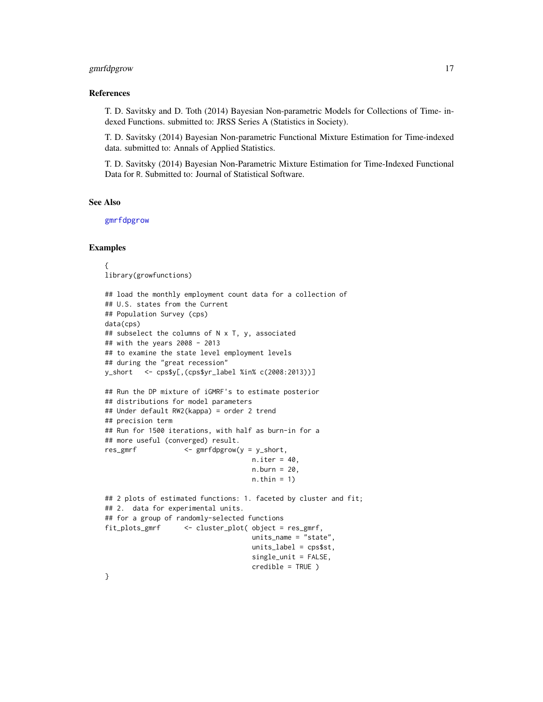## <span id="page-16-0"></span>gmrfdpgrow 17

#### References

T. D. Savitsky and D. Toth (2014) Bayesian Non-parametric Models for Collections of Time- indexed Functions. submitted to: JRSS Series A (Statistics in Society).

T. D. Savitsky (2014) Bayesian Non-parametric Functional Mixture Estimation for Time-indexed data. submitted to: Annals of Applied Statistics.

T. D. Savitsky (2014) Bayesian Non-Parametric Mixture Estimation for Time-Indexed Functional Data for R. Submitted to: Journal of Statistical Software.

# See Also

[gmrfdpgrow](#page-14-1)

#### Examples

```
{
library(growfunctions)
## load the monthly employment count data for a collection of
## U.S. states from the Current
## Population Survey (cps)
data(cps)
## subselect the columns of N x T, y, associated
## with the years 2008 - 2013
## to examine the state level employment levels
## during the "great recession"
y_short <- cps$y[,(cps$yr_label %in% c(2008:2013))]
## Run the DP mixture of iGMRF's to estimate posterior
## distributions for model parameters
## Under default RW2(kappa) = order 2 trend
## precision term
## Run for 1500 iterations, with half as burn-in for a
## more useful (converged) result.
res_gmrf <- gmrfdpgrow(y = y_short,
                                    n.iter = 40,
                                    n.burn = 20,
                                    n.thin = 1)
## 2 plots of estimated functions: 1. faceted by cluster and fit;
## 2. data for experimental units.
## for a group of randomly-selected functions
fit_plots_gmrf <- cluster_plot( object = res_gmrf,
                                    units_name = "state",
                                     units\_label = cps$st,
                                    single_unit = FALSE,
                                    credible = TRUE )
```
}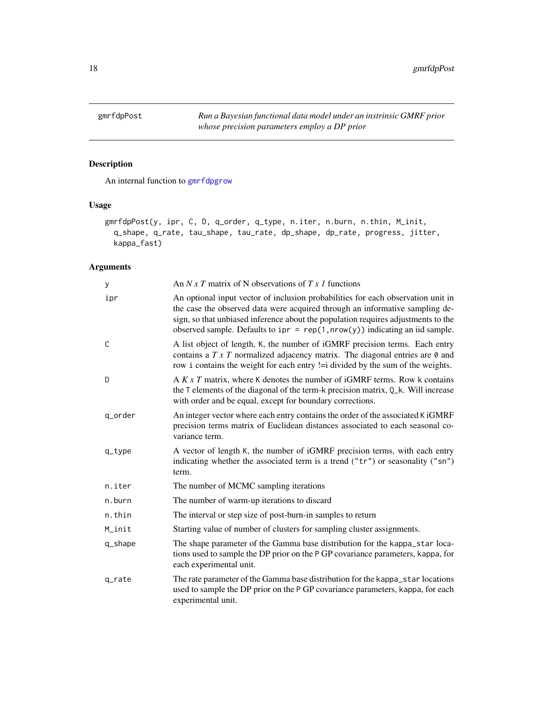<span id="page-17-0"></span>

# Description

An internal function to [gmrfdpgrow](#page-14-1)

# Usage

```
gmrfdpPost(y, ipr, C, D, q_order, q_type, n.iter, n.burn, n.thin, M_init,
 q_shape, q_rate, tau_shape, tau_rate, dp_shape, dp_rate, progress, jitter,
 kappa_fast)
```

| y       | An $N x T$ matrix of N observations of $T x I$ functions                                                                                                                                                                                                                                                                                |
|---------|-----------------------------------------------------------------------------------------------------------------------------------------------------------------------------------------------------------------------------------------------------------------------------------------------------------------------------------------|
| ipr     | An optional input vector of inclusion probabilities for each observation unit in<br>the case the observed data were acquired through an informative sampling de-<br>sign, so that unbiased inference about the population requires adjustments to the<br>observed sample. Defaults to $ipr = rep(1, nrow(y))$ indicating an iid sample. |
| Ċ       | A list object of length, K, the number of iGMRF precision terms. Each entry<br>contains a $T \times T$ normalized adjacency matrix. The diagonal entries are $\theta$ and<br>row i contains the weight for each entry != i divided by the sum of the weights.                                                                           |
| D       | A $K \times T$ matrix, where K denotes the number of iGMRF terms. Row k contains<br>the T elements of the diagonal of the term-k precision matrix, Q_k. Will increase<br>with order and be equal, except for boundary corrections.                                                                                                      |
| q_order | An integer vector where each entry contains the order of the associated K iGMRF<br>precision terms matrix of Euclidean distances associated to each seasonal co-<br>variance term.                                                                                                                                                      |
| q_type  | A vector of length K, the number of iGMRF precision terms, with each entry<br>indicating whether the associated term is a trend ("tr") or seasonality ("sn")<br>term.                                                                                                                                                                   |
| n.iter  | The number of MCMC sampling iterations                                                                                                                                                                                                                                                                                                  |
| n.burn  | The number of warm-up iterations to discard                                                                                                                                                                                                                                                                                             |
| n.thin  | The interval or step size of post-burn-in samples to return                                                                                                                                                                                                                                                                             |
| M_init  | Starting value of number of clusters for sampling cluster assignments.                                                                                                                                                                                                                                                                  |
| q_shape | The shape parameter of the Gamma base distribution for the kappa_star loca-<br>tions used to sample the DP prior on the P GP covariance parameters, kappa, for<br>each experimental unit.                                                                                                                                               |
| q_rate  | The rate parameter of the Gamma base distribution for the kappa_star locations<br>used to sample the DP prior on the P GP covariance parameters, kappa, for each<br>experimental unit.                                                                                                                                                  |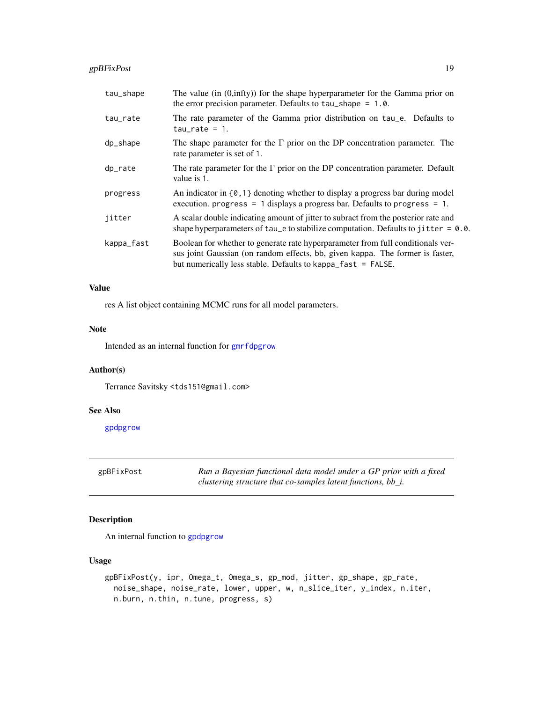# <span id="page-18-0"></span>gpBFixPost 19

| tau_shape  | The value (in $(0, \text{infty}))$ for the shape hyperparameter for the Gamma prior on<br>the error precision parameter. Defaults to $tau$ -shape = 1.0.                                                                                 |
|------------|------------------------------------------------------------------------------------------------------------------------------------------------------------------------------------------------------------------------------------------|
| tau_rate   | The rate parameter of the Gamma prior distribution on tau_e. Defaults to<br>$tau$ -rate = 1.                                                                                                                                             |
| dp_shape   | The shape parameter for the $\Gamma$ prior on the DP concentration parameter. The<br>rate parameter is set of 1.                                                                                                                         |
| dp_rate    | The rate parameter for the $\Gamma$ prior on the DP concentration parameter. Default<br>value is 1.                                                                                                                                      |
| progress   | An indicator in $\{0, 1\}$ denoting whether to display a progress bar during model<br>execution. progress = 1 displays a progress bar. Defaults to progress = 1.                                                                         |
| jitter     | A scalar double indicating amount of jitter to subract from the posterior rate and<br>shape hyperparameters of tau_e to stabilize computation. Defaults to jitter = $0.0$ .                                                              |
| kappa_fast | Boolean for whether to generate rate hyperparameter from full conditionals ver-<br>sus joint Gaussian (on random effects, bb, given kappa. The former is faster,<br>but numerically less stable. Defaults to $kappa_f$ and $k = FALSE$ . |

### Value

res A list object containing MCMC runs for all model parameters.

## Note

Intended as an internal function for [gmrfdpgrow](#page-14-1)

#### Author(s)

Terrance Savitsky <tds151@gmail.com>

# See Also

[gpdpgrow](#page-22-1)

gpBFixPost *Run a Bayesian functional data model under a GP prior with a fixed clustering structure that co-samples latent functions, bb\_i.*

# Description

An internal function to [gpdpgrow](#page-22-1)

# Usage

```
gpBFixPost(y, ipr, Omega_t, Omega_s, gp_mod, jitter, gp_shape, gp_rate,
 noise_shape, noise_rate, lower, upper, w, n_slice_iter, y_index, n.iter,
 n.burn, n.thin, n.tune, progress, s)
```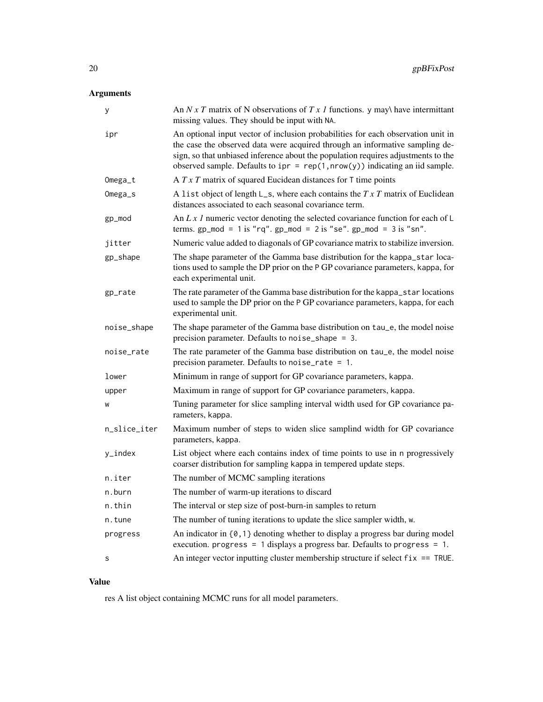# Arguments

| у            | An $N x T$ matrix of N observations of $T x I$ functions. y may have intermittant<br>missing values. They should be input with NA.                                                                                                                                                                                                      |
|--------------|-----------------------------------------------------------------------------------------------------------------------------------------------------------------------------------------------------------------------------------------------------------------------------------------------------------------------------------------|
| ipr          | An optional input vector of inclusion probabilities for each observation unit in<br>the case the observed data were acquired through an informative sampling de-<br>sign, so that unbiased inference about the population requires adjustments to the<br>observed sample. Defaults to $ipr = rep(1, nrow(y))$ indicating an iid sample. |
| $Omega_t$    | A $T x T$ matrix of squared Euclidean distances for $T$ time points                                                                                                                                                                                                                                                                     |
| $Omega_s$    | A list object of length $L_s$ , where each contains the $TxT$ matrix of Euclidean<br>distances associated to each seasonal covariance term.                                                                                                                                                                                             |
| gp_mod       | An $Lx$ <i>l</i> numeric vector denoting the selected covariance function for each of $L$<br>terms. $gp_{mod} = 1$ is "rq". $gp_{mod} = 2$ is "se". $gp_{mod} = 3$ is "sn".                                                                                                                                                             |
| jitter       | Numeric value added to diagonals of GP covariance matrix to stabilize inversion.                                                                                                                                                                                                                                                        |
| gp_shape     | The shape parameter of the Gamma base distribution for the kappa_star loca-<br>tions used to sample the DP prior on the P GP covariance parameters, kappa, for<br>each experimental unit.                                                                                                                                               |
| gp_rate      | The rate parameter of the Gamma base distribution for the kappa_star locations<br>used to sample the DP prior on the P GP covariance parameters, kappa, for each<br>experimental unit.                                                                                                                                                  |
| noise_shape  | The shape parameter of the Gamma base distribution on tau_e, the model noise<br>precision parameter. Defaults to noise_shape = 3.                                                                                                                                                                                                       |
| noise_rate   | The rate parameter of the Gamma base distribution on tau_e, the model noise<br>precision parameter. Defaults to noise_rate = 1.                                                                                                                                                                                                         |
| lower        | Minimum in range of support for GP covariance parameters, kappa.                                                                                                                                                                                                                                                                        |
| upper        | Maximum in range of support for GP covariance parameters, kappa.                                                                                                                                                                                                                                                                        |
| W            | Tuning parameter for slice sampling interval width used for GP covariance pa-<br>rameters, kappa.                                                                                                                                                                                                                                       |
| n_slice_iter | Maximum number of steps to widen slice samplind width for GP covariance<br>parameters, kappa.                                                                                                                                                                                                                                           |
| y_index      | List object where each contains index of time points to use in n progressively<br>coarser distribution for sampling kappa in tempered update steps.                                                                                                                                                                                     |
| n.iter       | The number of MCMC sampling iterations                                                                                                                                                                                                                                                                                                  |
| n.burn       | The number of warm-up iterations to discard                                                                                                                                                                                                                                                                                             |
| n.thin       | The interval or step size of post-burn-in samples to return                                                                                                                                                                                                                                                                             |
| n.tune       | The number of tuning iterations to update the slice sampler width, w.                                                                                                                                                                                                                                                                   |
| progress     | An indicator in $\{0, 1\}$ denoting whether to display a progress bar during model<br>execution. progress = $1$ displays a progress bar. Defaults to progress = $1$ .                                                                                                                                                                   |
| s            | An integer vector inputting cluster membership structure if select $fix == TRUE$ .                                                                                                                                                                                                                                                      |

# Value

res A list object containing MCMC runs for all model parameters.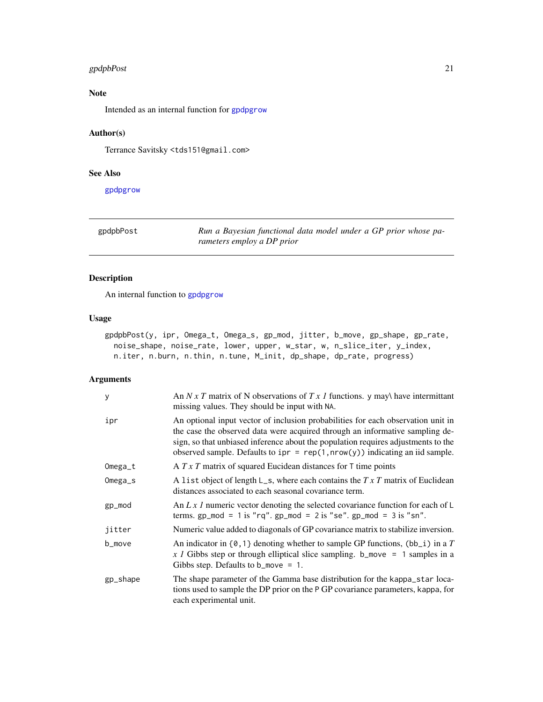# <span id="page-20-0"></span>gpdpbPost 21

# Note

Intended as an internal function for [gpdpgrow](#page-22-1)

# Author(s)

Terrance Savitsky <tds151@gmail.com>

#### See Also

[gpdpgrow](#page-22-1)

gpdpbPost *Run a Bayesian functional data model under a GP prior whose parameters employ a DP prior*

# Description

An internal function to [gpdpgrow](#page-22-1)

#### Usage

gpdpbPost(y, ipr, Omega\_t, Omega\_s, gp\_mod, jitter, b\_move, gp\_shape, gp\_rate, noise\_shape, noise\_rate, lower, upper, w\_star, w, n\_slice\_iter, y\_index, n.iter, n.burn, n.thin, n.tune, M\_init, dp\_shape, dp\_rate, progress)

| y        | An N x T matrix of N observations of T x 1 functions. y may have intermittant<br>missing values. They should be input with NA.                                                                                                                                                                                                          |
|----------|-----------------------------------------------------------------------------------------------------------------------------------------------------------------------------------------------------------------------------------------------------------------------------------------------------------------------------------------|
| ipr      | An optional input vector of inclusion probabilities for each observation unit in<br>the case the observed data were acquired through an informative sampling de-<br>sign, so that unbiased inference about the population requires adjustments to the<br>observed sample. Defaults to $ipr = rep(1, nrow(y))$ indicating an iid sample. |
| Omega_t  | A $TxT$ matrix of squared Eucidean distances for T time points                                                                                                                                                                                                                                                                          |
| Omega_s  | A list object of length $L_{\text{S}}$ , where each contains the T x T matrix of Euclidean<br>distances associated to each seasonal covariance term.                                                                                                                                                                                    |
| gp_mod   | An L x 1 numeric vector denoting the selected covariance function for each of $\mathsf{L}$<br>terms. gp_mod = 1 is "rq". gp_mod = 2 is "se". gp_mod = 3 is "sn".                                                                                                                                                                        |
| jitter   | Numeric value added to diagonals of GP covariance matrix to stabilize inversion.                                                                                                                                                                                                                                                        |
| b_move   | An indicator in $\{0, 1\}$ denoting whether to sample GP functions, (bb_i) in a T<br>x 1 Gibbs step or through elliptical slice sampling. b_move = 1 samples in a<br>Gibbs step. Defaults to $b$ _move = 1.                                                                                                                             |
| gp_shape | The shape parameter of the Gamma base distribution for the kappa_star loca-<br>tions used to sample the DP prior on the P GP covariance parameters, kappa, for<br>each experimental unit.                                                                                                                                               |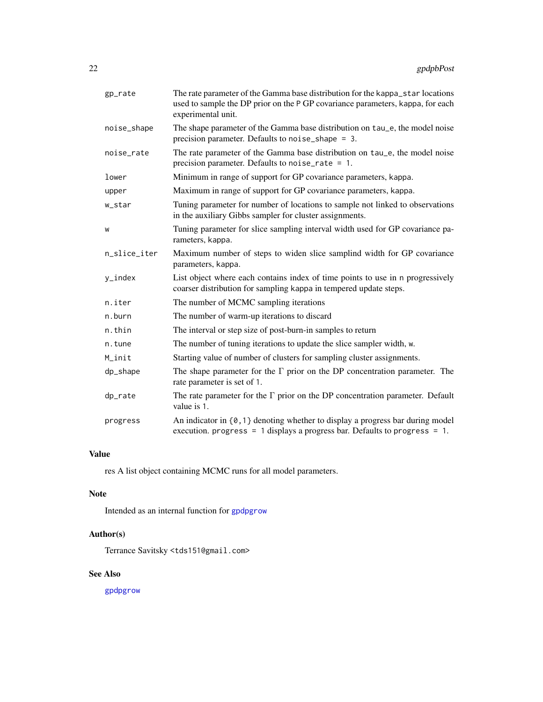<span id="page-21-0"></span>

| gp_rate      | The rate parameter of the Gamma base distribution for the kappa_star locations<br>used to sample the DP prior on the P GP covariance parameters, kappa, for each<br>experimental unit. |
|--------------|----------------------------------------------------------------------------------------------------------------------------------------------------------------------------------------|
| noise_shape  | The shape parameter of the Gamma base distribution on tau_e, the model noise<br>precision parameter. Defaults to noise_shape = 3.                                                      |
| noise_rate   | The rate parameter of the Gamma base distribution on tau_e, the model noise<br>precision parameter. Defaults to noise_rate = $1$ .                                                     |
| lower        | Minimum in range of support for GP covariance parameters, kappa.                                                                                                                       |
| upper        | Maximum in range of support for GP covariance parameters, kappa.                                                                                                                       |
| w_star       | Tuning parameter for number of locations to sample not linked to observations<br>in the auxiliary Gibbs sampler for cluster assignments.                                               |
| W            | Tuning parameter for slice sampling interval width used for GP covariance pa-<br>rameters, kappa.                                                                                      |
| n_slice_iter | Maximum number of steps to widen slice samplind width for GP covariance<br>parameters, kappa.                                                                                          |
| y_index      | List object where each contains index of time points to use in n progressively<br>coarser distribution for sampling kappa in tempered update steps.                                    |
| n.iter       | The number of MCMC sampling iterations                                                                                                                                                 |
| n.burn       | The number of warm-up iterations to discard                                                                                                                                            |
| n.thin       | The interval or step size of post-burn-in samples to return                                                                                                                            |
| n.tune       | The number of tuning iterations to update the slice sampler width, w.                                                                                                                  |
| M_init       | Starting value of number of clusters for sampling cluster assignments.                                                                                                                 |
| dp_shape     | The shape parameter for the $\Gamma$ prior on the DP concentration parameter. The<br>rate parameter is set of 1.                                                                       |
| dp_rate      | The rate parameter for the $\Gamma$ prior on the DP concentration parameter. Default<br>value is 1.                                                                                    |
| progress     | An indicator in $\{0, 1\}$ denoting whether to display a progress bar during model<br>execution. progress = $1$ displays a progress bar. Defaults to progress = $1$ .                  |

# Value

res A list object containing MCMC runs for all model parameters.

# Note

Intended as an internal function for [gpdpgrow](#page-22-1)

# Author(s)

Terrance Savitsky <tds151@gmail.com>

# See Also

[gpdpgrow](#page-22-1)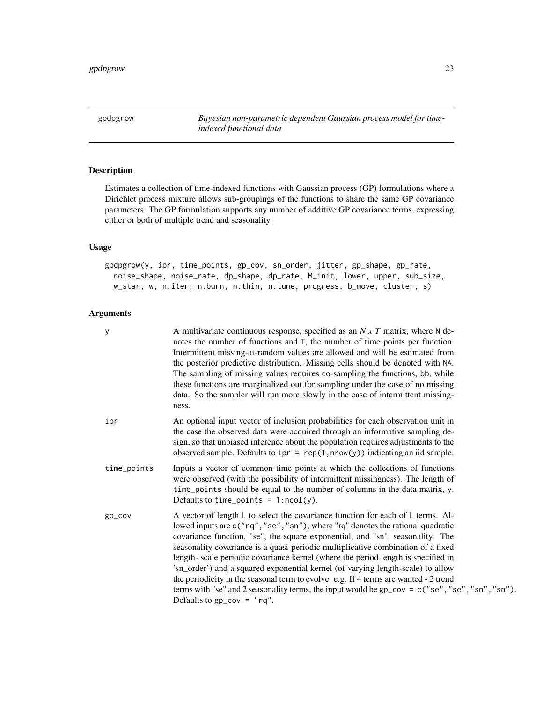<span id="page-22-1"></span><span id="page-22-0"></span>gpdpgrow *Bayesian non-parametric dependent Gaussian process model for timeindexed functional data*

# Description

Estimates a collection of time-indexed functions with Gaussian process (GP) formulations where a Dirichlet process mixture allows sub-groupings of the functions to share the same GP covariance parameters. The GP formulation supports any number of additive GP covariance terms, expressing either or both of multiple trend and seasonality.

# Usage

gpdpgrow(y, ipr, time\_points, gp\_cov, sn\_order, jitter, gp\_shape, gp\_rate, noise\_shape, noise\_rate, dp\_shape, dp\_rate, M\_init, lower, upper, sub\_size, w\_star, w, n.iter, n.burn, n.thin, n.tune, progress, b\_move, cluster, s)

| y           | A multivariate continuous response, specified as an $N x T$ matrix, where N de-<br>notes the number of functions and T, the number of time points per function.<br>Intermittent missing-at-random values are allowed and will be estimated from<br>the posterior predictive distribution. Missing cells should be denoted with NA.<br>The sampling of missing values requires co-sampling the functions, bb, while<br>these functions are marginalized out for sampling under the case of no missing<br>data. So the sampler will run more slowly in the case of intermittent missing-<br>ness.                                                                                                                                                  |
|-------------|--------------------------------------------------------------------------------------------------------------------------------------------------------------------------------------------------------------------------------------------------------------------------------------------------------------------------------------------------------------------------------------------------------------------------------------------------------------------------------------------------------------------------------------------------------------------------------------------------------------------------------------------------------------------------------------------------------------------------------------------------|
| ipr         | An optional input vector of inclusion probabilities for each observation unit in<br>the case the observed data were acquired through an informative sampling de-<br>sign, so that unbiased inference about the population requires adjustments to the<br>observed sample. Defaults to $ipr = rep(1, nrow(y))$ indicating an iid sample.                                                                                                                                                                                                                                                                                                                                                                                                          |
| time_points | Inputs a vector of common time points at which the collections of functions<br>were observed (with the possibility of intermittent missingness). The length of<br>time_points should be equal to the number of columns in the data matrix, y.<br>Defaults to time_points = $1:ncol(y)$ .                                                                                                                                                                                                                                                                                                                                                                                                                                                         |
| $gp_{cov}$  | A vector of length L to select the covariance function for each of L terms. Al-<br>lowed inputs are c("rq", "se", "sn"), where "rq" denotes the rational quadratic<br>covariance function, "se", the square exponential, and "sn", seasonality. The<br>seasonality covariance is a quasi-periodic multiplicative combination of a fixed<br>length- scale periodic covariance kernel (where the period length is specified in<br>'sn_order') and a squared exponential kernel (of varying length-scale) to allow<br>the periodicity in the seasonal term to evolve. e.g. If 4 terms are wanted - 2 trend<br>terms with "se" and 2 seasonality terms, the input would be $gp_{cov} = c("se", "se", "sn", "sn").$<br>Defaults to $gp_{cov}$ = "rq". |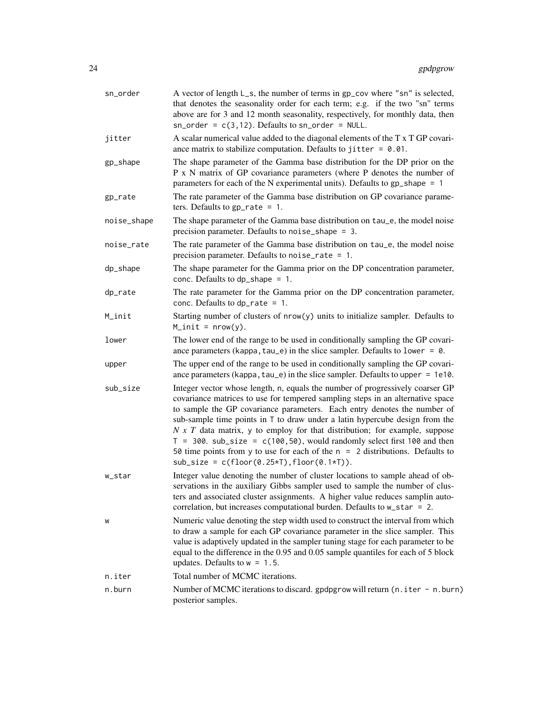| sn_order    | A vector of length L_s, the number of terms in gp_cov where "sn" is selected,<br>that denotes the seasonality order for each term; e.g. if the two "sn" terms<br>above are for 3 and 12 month seasonality, respectively, for monthly data, then<br>$sn\_order = c(3, 12)$ . Defaults to $sn\_order = NULL$ .                                                                                                                                                                                                                                                                                                                      |
|-------------|-----------------------------------------------------------------------------------------------------------------------------------------------------------------------------------------------------------------------------------------------------------------------------------------------------------------------------------------------------------------------------------------------------------------------------------------------------------------------------------------------------------------------------------------------------------------------------------------------------------------------------------|
| jitter      | A scalar numerical value added to the diagonal elements of the T x T GP covari-<br>ance matrix to stabilize computation. Defaults to jitter = $0.01$ .                                                                                                                                                                                                                                                                                                                                                                                                                                                                            |
| gp_shape    | The shape parameter of the Gamma base distribution for the DP prior on the<br>P x N matrix of GP covariance parameters (where P denotes the number of<br>parameters for each of the N experimental units). Defaults to $gp$ _shape = 1                                                                                                                                                                                                                                                                                                                                                                                            |
| gp_rate     | The rate parameter of the Gamma base distribution on GP covariance parame-<br>ters. Defaults to $gp$ -rate = 1.                                                                                                                                                                                                                                                                                                                                                                                                                                                                                                                   |
| noise_shape | The shape parameter of the Gamma base distribution on tau_e, the model noise<br>precision parameter. Defaults to noise_shape = 3.                                                                                                                                                                                                                                                                                                                                                                                                                                                                                                 |
| noise_rate  | The rate parameter of the Gamma base distribution on tau_e, the model noise<br>precision parameter. Defaults to noise_rate = $1$ .                                                                                                                                                                                                                                                                                                                                                                                                                                                                                                |
| dp_shape    | The shape parameter for the Gamma prior on the DP concentration parameter,<br>conc. Defaults to $dp$ shape = 1.                                                                                                                                                                                                                                                                                                                                                                                                                                                                                                                   |
| dp_rate     | The rate parameter for the Gamma prior on the DP concentration parameter,<br>conc. Defaults to dp_rate = $1$ .                                                                                                                                                                                                                                                                                                                                                                                                                                                                                                                    |
| M_init      | Starting number of clusters of nrow(y) units to initialize sampler. Defaults to<br>$M\_init = nrow(y)$ .                                                                                                                                                                                                                                                                                                                                                                                                                                                                                                                          |
| lower       | The lower end of the range to be used in conditionally sampling the GP covari-<br>ance parameters (kappa, tau_e) in the slice sampler. Defaults to lower = $\theta$ .                                                                                                                                                                                                                                                                                                                                                                                                                                                             |
| upper       | The upper end of the range to be used in conditionally sampling the GP covari-<br>ance parameters (kappa, $tau_e$ ) in the slice sampler. Defaults to upper = 1e10.                                                                                                                                                                                                                                                                                                                                                                                                                                                               |
| sub_size    | Integer vector whose length, n, equals the number of progressively coarser GP<br>covariance matrices to use for tempered sampling steps in an alternative space<br>to sample the GP covariance parameters. Each entry denotes the number of<br>sub-sample time points in T to draw under a latin hypercube design from the<br>$N \times T$ data matrix, y to employ for that distribution; for example, suppose<br>$T = 300$ . sub_size = c(100,50), would randomly select first 100 and then<br>50 time points from y to use for each of the $n = 2$ distributions. Defaults to<br>$sub\_size = c(float(0.25*T), floor(0.1*T)).$ |
| w_star      | Integer value denoting the number of cluster locations to sample ahead of ob-<br>servations in the auxiliary Gibbs sampler used to sample the number of clus-<br>ters and associated cluster assignments. A higher value reduces samplin auto-<br>correlation, but increases computational burden. Defaults to w_star = 2.                                                                                                                                                                                                                                                                                                        |
| W           | Numeric value denoting the step width used to construct the interval from which<br>to draw a sample for each GP covariance parameter in the slice sampler. This<br>value is adaptively updated in the sampler tuning stage for each parameter to be<br>equal to the difference in the 0.95 and 0.05 sample quantiles for each of 5 block<br>updates. Defaults to $w = 1.5$ .                                                                                                                                                                                                                                                      |
| n.iter      | Total number of MCMC iterations.                                                                                                                                                                                                                                                                                                                                                                                                                                                                                                                                                                                                  |
| n.burn      | Number of MCMC iterations to discard. gpdpgrow will return (n.iter - n.burn)<br>posterior samples.                                                                                                                                                                                                                                                                                                                                                                                                                                                                                                                                |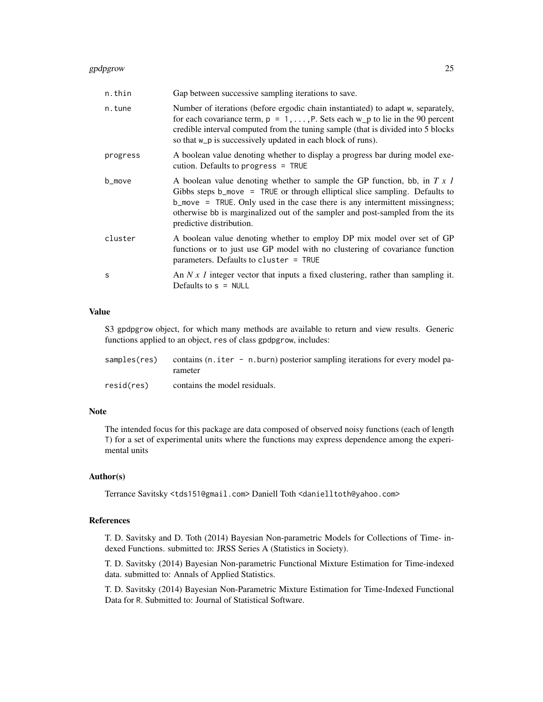#### gpdpgrow 25

| n.thin   | Gap between successive sampling iterations to save.                                                                                                                                                                                                                                                                                                                   |
|----------|-----------------------------------------------------------------------------------------------------------------------------------------------------------------------------------------------------------------------------------------------------------------------------------------------------------------------------------------------------------------------|
| n.tune   | Number of iterations (before ergodic chain instantiated) to adapt w, separately,<br>for each covariance term, $p = 1, \ldots, P$ . Sets each w_p to lie in the 90 percent<br>credible interval computed from the tuning sample (that is divided into 5 blocks<br>so that w_p is successively updated in each block of runs).                                          |
| progress | A boolean value denoting whether to display a progress bar during model exe-<br>cution. Defaults to progress $=$ TRUE                                                                                                                                                                                                                                                 |
| b_move   | A boolean value denoting whether to sample the GP function, bb, in $T \times I$<br>Gibbs steps $b_{\text{move}}$ = TRUE or through elliptical slice sampling. Defaults to<br>b_move = TRUE. Only used in the case there is any intermittent missingness;<br>otherwise bb is marginalized out of the sampler and post-sampled from the its<br>predictive distribution. |
| cluster  | A boolean value denoting whether to employ DP mix model over set of GP<br>functions or to just use GP model with no clustering of covariance function<br>parameters. Defaults to cluster $=$ TRUE                                                                                                                                                                     |
| S        | An $N x 1$ integer vector that inputs a fixed clustering, rather than sampling it.<br>Defaults to $s = NULL$                                                                                                                                                                                                                                                          |

# Value

S3 gpdpgrow object, for which many methods are available to return and view results. Generic functions applied to an object, res of class gpdpgrow, includes:

| samples(res) | contains (n. iter - n. burn) posterior sampling iterations for every model pa-<br>rameter |
|--------------|-------------------------------------------------------------------------------------------|
| resid(res)   | contains the model residuals.                                                             |

#### Note

The intended focus for this package are data composed of observed noisy functions (each of length T) for a set of experimental units where the functions may express dependence among the experimental units

#### Author(s)

Terrance Savitsky <tds151@gmail.com> Daniell Toth <danielltoth@yahoo.com>

# References

T. D. Savitsky and D. Toth (2014) Bayesian Non-parametric Models for Collections of Time- indexed Functions. submitted to: JRSS Series A (Statistics in Society).

T. D. Savitsky (2014) Bayesian Non-parametric Functional Mixture Estimation for Time-indexed data. submitted to: Annals of Applied Statistics.

T. D. Savitsky (2014) Bayesian Non-Parametric Mixture Estimation for Time-Indexed Functional Data for R. Submitted to: Journal of Statistical Software.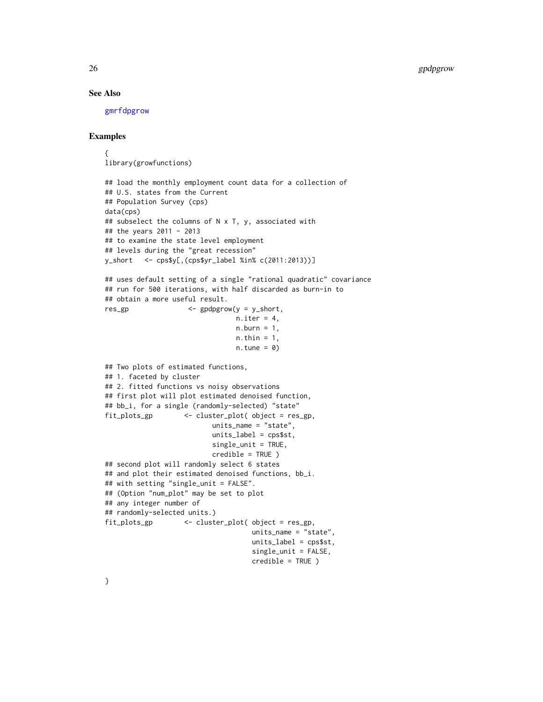#### See Also

[gmrfdpgrow](#page-14-1)

# Examples

{ library(growfunctions)

```
## load the monthly employment count data for a collection of
## U.S. states from the Current
## Population Survey (cps)
data(cps)
## subselect the columns of N x T, y, associated with
## the years 2011 - 2013
## to examine the state level employment
## levels during the "great recession"
y_short <- cps$y[,(cps$yr_label %in% c(2011:2013))]
## uses default setting of a single "rational quadratic" covariance
## run for 500 iterations, with half discarded as burn-in to
## obtain a more useful result.
res_gp <- gpdpgrow(y = y_short,
                                n.iter = 4,
                                n.burn = 1,
                                n.thin = 1,
                                n.tune = 0)
## Two plots of estimated functions,
## 1. faceted by cluster
## 2. fitted functions vs noisy observations
## first plot will plot estimated denoised function,
## bb_i, for a single (randomly-selected) "state"
fit_plots_gp <- cluster_plot( object = res_gp,
                          units_name = "state",
                          units_label = cps$st,
                          single_unit = TRUE,
                          credible = TRUE )
## second plot will randomly select 6 states
## and plot their estimated denoised functions, bb_i.
## with setting "single_unit = FALSE".
## (Option "num_plot" may be set to plot
## any integer number of
## randomly-selected units.)
fit_plots_gp <- cluster_plot( object = res_gp,
                                    units_name = "state",
                                    units_label = cps$st,
                                    single_unit = FALSE,
                                    credible = TRUE )
```
<span id="page-25-0"></span>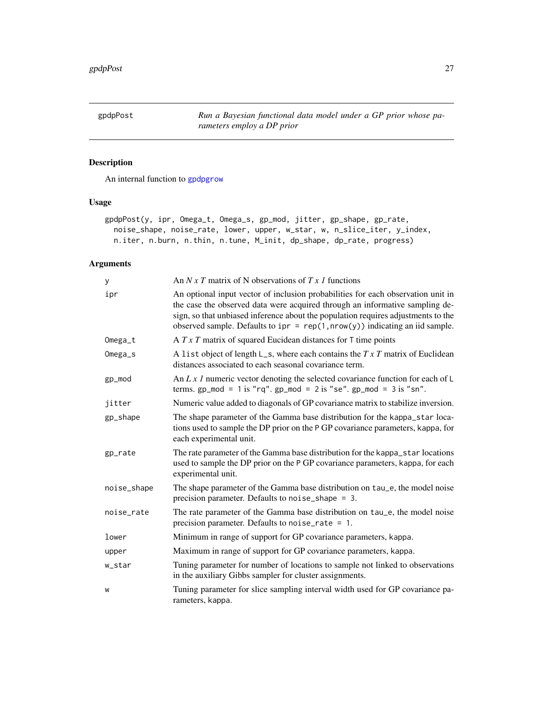<span id="page-26-0"></span>gpdpPost *Run a Bayesian functional data model under a GP prior whose parameters employ a DP prior*

# Description

An internal function to [gpdpgrow](#page-22-1)

#### Usage

```
gpdpPost(y, ipr, Omega_t, Omega_s, gp_mod, jitter, gp_shape, gp_rate,
 noise_shape, noise_rate, lower, upper, w_star, w, n_slice_iter, y_index,
 n.iter, n.burn, n.thin, n.tune, M_init, dp_shape, dp_rate, progress)
```

| У           | An $N x T$ matrix of N observations of $T x I$ functions                                                                                                                                                                                                                                                                                |
|-------------|-----------------------------------------------------------------------------------------------------------------------------------------------------------------------------------------------------------------------------------------------------------------------------------------------------------------------------------------|
| ipr         | An optional input vector of inclusion probabilities for each observation unit in<br>the case the observed data were acquired through an informative sampling de-<br>sign, so that unbiased inference about the population requires adjustments to the<br>observed sample. Defaults to $ipr = rep(1, nrow(y))$ indicating an iid sample. |
| $Omega_t$   | A $T \times T$ matrix of squared Eucidean distances for T time points                                                                                                                                                                                                                                                                   |
| Omega_s     | A list object of length $L_s$ , where each contains the $TxT$ matrix of Euclidean<br>distances associated to each seasonal covariance term.                                                                                                                                                                                             |
| gp_mod      | An L x 1 numeric vector denoting the selected covariance function for each of $\mathsf{L}$<br>terms. $gp_{mod} = 1$ is "rq". $gp_{mod} = 2$ is "se". $gp_{mod} = 3$ is "sn".                                                                                                                                                            |
| jitter      | Numeric value added to diagonals of GP covariance matrix to stabilize inversion.                                                                                                                                                                                                                                                        |
| gp_shape    | The shape parameter of the Gamma base distribution for the kappa_star loca-<br>tions used to sample the DP prior on the P GP covariance parameters, kappa, for<br>each experimental unit.                                                                                                                                               |
| gp_rate     | The rate parameter of the Gamma base distribution for the kappa_star locations<br>used to sample the DP prior on the P GP covariance parameters, kappa, for each<br>experimental unit.                                                                                                                                                  |
| noise_shape | The shape parameter of the Gamma base distribution on tau_e, the model noise<br>precision parameter. Defaults to noise_shape = 3.                                                                                                                                                                                                       |
| noise_rate  | The rate parameter of the Gamma base distribution on tau_e, the model noise<br>precision parameter. Defaults to noise_rate = $1$ .                                                                                                                                                                                                      |
| lower       | Minimum in range of support for GP covariance parameters, kappa.                                                                                                                                                                                                                                                                        |
| upper       | Maximum in range of support for GP covariance parameters, kappa.                                                                                                                                                                                                                                                                        |
| w_star      | Tuning parameter for number of locations to sample not linked to observations<br>in the auxiliary Gibbs sampler for cluster assignments.                                                                                                                                                                                                |
| W           | Tuning parameter for slice sampling interval width used for GP covariance pa-<br>rameters, kappa.                                                                                                                                                                                                                                       |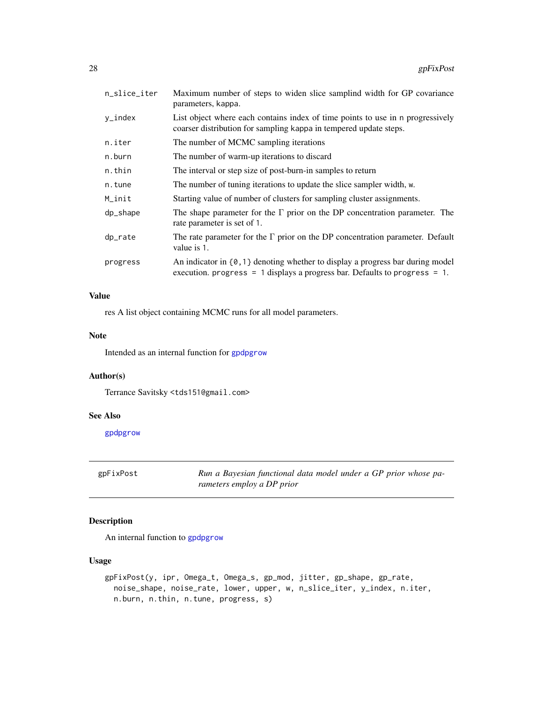<span id="page-27-0"></span>

| Maximum number of steps to widen slice samplind width for GP covariance<br>parameters, kappa.                                                                        |
|----------------------------------------------------------------------------------------------------------------------------------------------------------------------|
| List object where each contains index of time points to use in a progressively<br>coarser distribution for sampling kappa in tempered update steps.                  |
| The number of MCMC sampling iterations                                                                                                                               |
| The number of warm-up iterations to discard                                                                                                                          |
| The interval or step size of post-burn-in samples to return                                                                                                          |
| The number of tuning iterations to update the slice sampler width, w.                                                                                                |
| Starting value of number of clusters for sampling cluster assignments.                                                                                               |
| The shape parameter for the $\Gamma$ prior on the DP concentration parameter. The<br>rate parameter is set of 1.                                                     |
| The rate parameter for the $\Gamma$ prior on the DP concentration parameter. Default<br>value is 1.                                                                  |
| An indicator in $\{0,1\}$ denoting whether to display a progress bar during model<br>execution. progress = $1$ displays a progress bar. Defaults to progress = $1$ . |
|                                                                                                                                                                      |

# Value

res A list object containing MCMC runs for all model parameters.

# Note

Intended as an internal function for [gpdpgrow](#page-22-1)

# Author(s)

Terrance Savitsky <tds151@gmail.com>

## See Also

[gpdpgrow](#page-22-1)

gpFixPost *Run a Bayesian functional data model under a GP prior whose parameters employ a DP prior*

# Description

An internal function to [gpdpgrow](#page-22-1)

# Usage

```
gpFixPost(y, ipr, Omega_t, Omega_s, gp_mod, jitter, gp_shape, gp_rate,
 noise_shape, noise_rate, lower, upper, w, n_slice_iter, y_index, n.iter,
 n.burn, n.thin, n.tune, progress, s)
```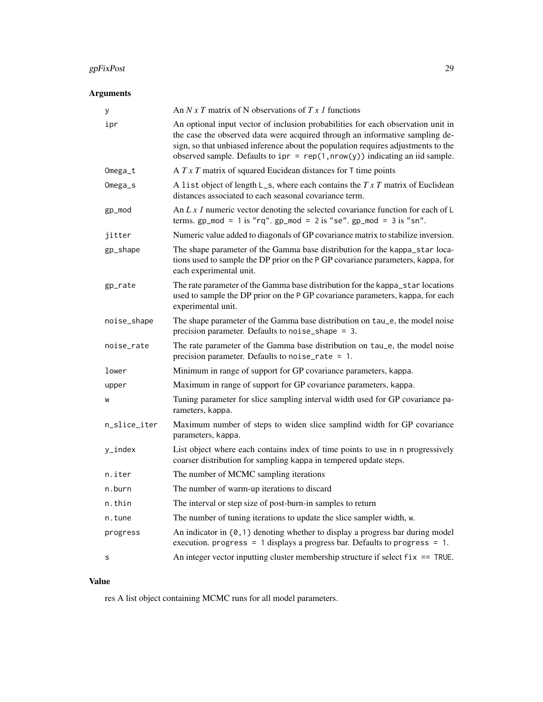# gpFixPost 29

# Arguments

| у            | An $N x T$ matrix of N observations of $T x 1$ functions                                                                                                                                                                                                                                                                                |
|--------------|-----------------------------------------------------------------------------------------------------------------------------------------------------------------------------------------------------------------------------------------------------------------------------------------------------------------------------------------|
| ipr          | An optional input vector of inclusion probabilities for each observation unit in<br>the case the observed data were acquired through an informative sampling de-<br>sign, so that unbiased inference about the population requires adjustments to the<br>observed sample. Defaults to $ipr = rep(1, nrow(y))$ indicating an iid sample. |
| Omega_t      | A $T \times T$ matrix of squared Euclidean distances for T time points                                                                                                                                                                                                                                                                  |
| Omega_s      | A list object of length $L_s$ , where each contains the $TxT$ matrix of Euclidean<br>distances associated to each seasonal covariance term.                                                                                                                                                                                             |
| gp_mod       | An L x 1 numeric vector denoting the selected covariance function for each of $\mathsf{L}$<br>terms. $gp_{mod} = 1$ is "rq". $gp_{mod} = 2$ is "se". $gp_{mod} = 3$ is "sn".                                                                                                                                                            |
| jitter       | Numeric value added to diagonals of GP covariance matrix to stabilize inversion.                                                                                                                                                                                                                                                        |
| gp_shape     | The shape parameter of the Gamma base distribution for the kappa_star loca-<br>tions used to sample the DP prior on the P GP covariance parameters, kappa, for<br>each experimental unit.                                                                                                                                               |
| gp_rate      | The rate parameter of the Gamma base distribution for the kappa_star locations<br>used to sample the DP prior on the P GP covariance parameters, kappa, for each<br>experimental unit.                                                                                                                                                  |
| noise_shape  | The shape parameter of the Gamma base distribution on tau_e, the model noise<br>precision parameter. Defaults to noise_shape = 3.                                                                                                                                                                                                       |
| noise_rate   | The rate parameter of the Gamma base distribution on tau_e, the model noise<br>precision parameter. Defaults to noise_rate = 1.                                                                                                                                                                                                         |
| lower        | Minimum in range of support for GP covariance parameters, kappa.                                                                                                                                                                                                                                                                        |
| upper        | Maximum in range of support for GP covariance parameters, kappa.                                                                                                                                                                                                                                                                        |
| W            | Tuning parameter for slice sampling interval width used for GP covariance pa-<br>rameters, kappa.                                                                                                                                                                                                                                       |
| n_slice_iter | Maximum number of steps to widen slice samplind width for GP covariance<br>parameters, kappa.                                                                                                                                                                                                                                           |
| y_index      | List object where each contains index of time points to use in n progressively<br>coarser distribution for sampling kappa in tempered update steps.                                                                                                                                                                                     |
| n.iter       | The number of MCMC sampling iterations                                                                                                                                                                                                                                                                                                  |
| n.burn       | The number of warm-up iterations to discard                                                                                                                                                                                                                                                                                             |
| n.thin       | The interval or step size of post-burn-in samples to return                                                                                                                                                                                                                                                                             |
| n.tune       | The number of tuning iterations to update the slice sampler width, w.                                                                                                                                                                                                                                                                   |
| progress     | An indicator in $\{0, 1\}$ denoting whether to display a progress bar during model<br>execution. progress = $1$ displays a progress bar. Defaults to progress = $1$ .                                                                                                                                                                   |
| s            | An integer vector inputting cluster membership structure if select $fix == TRUE$ .                                                                                                                                                                                                                                                      |

# Value

res A list object containing MCMC runs for all model parameters.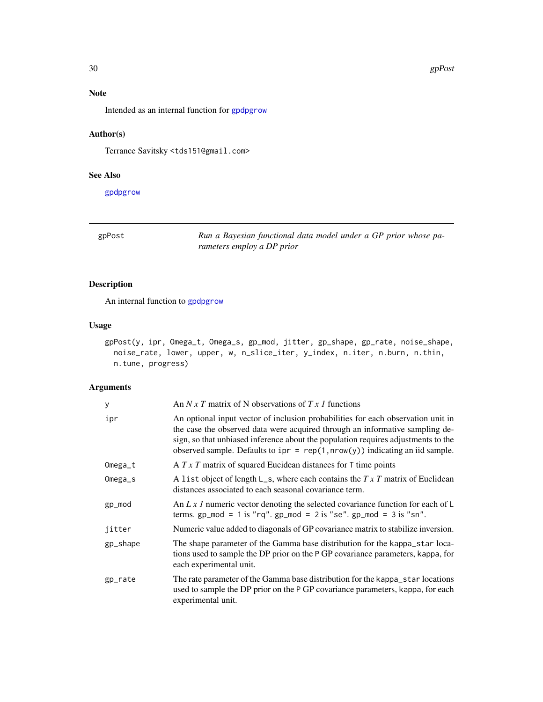# <span id="page-29-0"></span>Note

Intended as an internal function for [gpdpgrow](#page-22-1)

# Author(s)

Terrance Savitsky <tds151@gmail.com>

## See Also

[gpdpgrow](#page-22-1)

gpPost *Run a Bayesian functional data model under a GP prior whose parameters employ a DP prior*

# Description

An internal function to [gpdpgrow](#page-22-1)

#### Usage

```
gpPost(y, ipr, Omega_t, Omega_s, gp_mod, jitter, gp_shape, gp_rate, noise_shape,
 noise_rate, lower, upper, w, n_slice_iter, y_index, n.iter, n.burn, n.thin,
 n.tune, progress)
```

| y        | An $N x T$ matrix of N observations of $T x I$ functions                                                                                                                                                                                                                                                                                |
|----------|-----------------------------------------------------------------------------------------------------------------------------------------------------------------------------------------------------------------------------------------------------------------------------------------------------------------------------------------|
| ipr      | An optional input vector of inclusion probabilities for each observation unit in<br>the case the observed data were acquired through an informative sampling de-<br>sign, so that unbiased inference about the population requires adjustments to the<br>observed sample. Defaults to $ipr = rep(1, nrow(y))$ indicating an iid sample. |
| Omega_t  | A $T \times T$ matrix of squared Eucidean distances for T time points                                                                                                                                                                                                                                                                   |
| Omega_s  | A list object of length $L_s$ , where each contains the $TxT$ matrix of Euclidean<br>distances associated to each seasonal covariance term.                                                                                                                                                                                             |
| gp_mod   | An L x 1 numeric vector denoting the selected covariance function for each of $\mathsf{L}$<br>terms. $gp_{mod} = 1$ is "rq". $gp_{mod} = 2$ is "se". $gp_{mod} = 3$ is "sn".                                                                                                                                                            |
| jitter   | Numeric value added to diagonals of GP covariance matrix to stabilize inversion.                                                                                                                                                                                                                                                        |
| gp_shape | The shape parameter of the Gamma base distribution for the kappa_star loca-<br>tions used to sample the DP prior on the P GP covariance parameters, kappa, for<br>each experimental unit.                                                                                                                                               |
| gp_rate  | The rate parameter of the Gamma base distribution for the kappa_star locations<br>used to sample the DP prior on the P GP covariance parameters, kappa, for each<br>experimental unit.                                                                                                                                                  |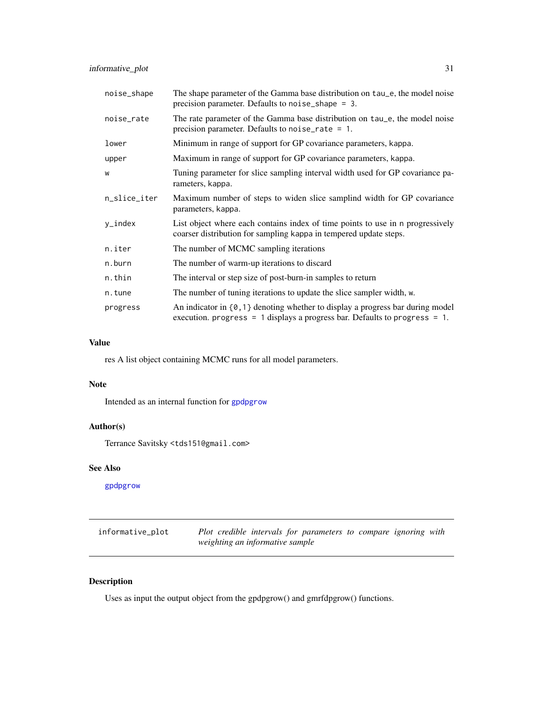<span id="page-30-0"></span>

| noise_shape  | The shape parameter of the Gamma base distribution on tau_e, the model noise<br>precision parameter. Defaults to noise_shape = $3$ .                                  |
|--------------|-----------------------------------------------------------------------------------------------------------------------------------------------------------------------|
| noise_rate   | The rate parameter of the Gamma base distribution on tau_e, the model noise<br>precision parameter. Defaults to noise_rate = $1$ .                                    |
| lower        | Minimum in range of support for GP covariance parameters, kappa.                                                                                                      |
| upper        | Maximum in range of support for GP covariance parameters, kappa.                                                                                                      |
| W            | Tuning parameter for slice sampling interval width used for GP covariance pa-<br>rameters, kappa.                                                                     |
| n_slice_iter | Maximum number of steps to widen slice samplind width for GP covariance<br>parameters, kappa.                                                                         |
| y_index      | List object where each contains index of time points to use in n progressively<br>coarser distribution for sampling kappa in tempered update steps.                   |
| n.iter       | The number of MCMC sampling iterations                                                                                                                                |
| n.burn       | The number of warm-up iterations to discard                                                                                                                           |
| n.thin       | The interval or step size of post-burn-in samples to return                                                                                                           |
| n.tune       | The number of tuning iterations to update the slice sampler width, w.                                                                                                 |
| progress     | An indicator in $\{0, 1\}$ denoting whether to display a progress bar during model<br>execution. progress = $1$ displays a progress bar. Defaults to progress = $1$ . |

#### Value

res A list object containing MCMC runs for all model parameters.

#### Note

Intended as an internal function for [gpdpgrow](#page-22-1)

## Author(s)

Terrance Savitsky <tds151@gmail.com>

# See Also

[gpdpgrow](#page-22-1)

<span id="page-30-1"></span>

| informative_plot | Plot credible intervals for parameters to compare ignoring with |  |
|------------------|-----------------------------------------------------------------|--|
|                  | weighting an informative sample                                 |  |

# Description

Uses as input the output object from the gpdpgrow() and gmrfdpgrow() functions.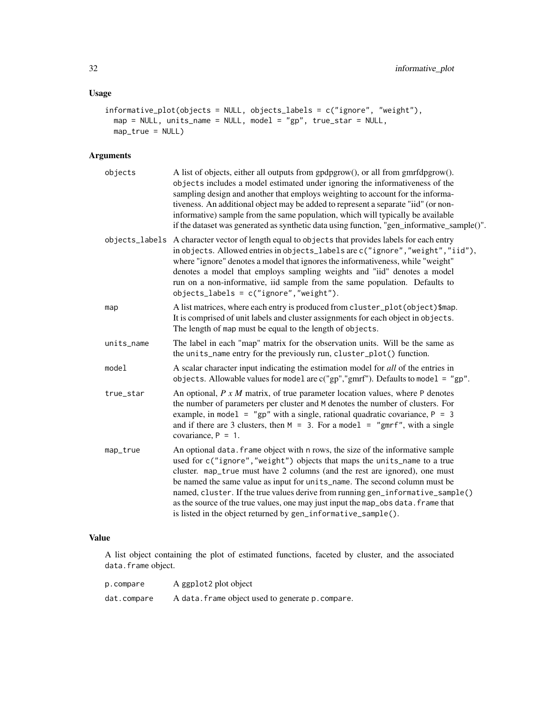# Usage

```
informative_plot(objects = NULL, objects_labels = c("ignore", "weight"),
 map = NULL, units_name = NULL, model = "gp", true_star = NULL,
 map_true = NULL)
```
# Arguments

| A list of objects, either all outputs from gpdpgrow(), or all from gmrfdpgrow().<br>objects includes a model estimated under ignoring the informativeness of the<br>sampling design and another that employs weighting to account for the informa-<br>tiveness. An additional object may be added to represent a separate "iid" (or non-<br>informative) sample from the same population, which will typically be available<br>if the dataset was generated as synthetic data using function, "gen_informative_sample()".                                        |
|------------------------------------------------------------------------------------------------------------------------------------------------------------------------------------------------------------------------------------------------------------------------------------------------------------------------------------------------------------------------------------------------------------------------------------------------------------------------------------------------------------------------------------------------------------------|
| objects_labels A character vector of length equal to objects that provides labels for each entry<br>in objects. Allowed entries in objects_labels are c("ignore", "weight", "iid"),<br>where "ignore" denotes a model that ignores the informativeness, while "weight"<br>denotes a model that employs sampling weights and "iid" denotes a model<br>run on a non-informative, iid sample from the same population. Defaults to<br>objects_labels = $c("ignore", "weight").$                                                                                     |
| A list matrices, where each entry is produced from cluster_plot(object)\$map.<br>It is comprised of unit labels and cluster assignments for each object in objects.<br>The length of map must be equal to the length of objects.                                                                                                                                                                                                                                                                                                                                 |
| The label in each "map" matrix for the observation units. Will be the same as<br>the units_name entry for the previously run, cluster_plot() function.                                                                                                                                                                                                                                                                                                                                                                                                           |
| A scalar character input indicating the estimation model for all of the entries in<br>objects. Allowable values for model are $c("gp", "gmrf").$ Defaults to model = "gp".                                                                                                                                                                                                                                                                                                                                                                                       |
| An optional, $P x M$ matrix, of true parameter location values, where $P$ denotes<br>the number of parameters per cluster and M denotes the number of clusters. For<br>example, in model = "gp" with a single, rational quadratic covariance, $P = 3$<br>and if there are 3 clusters, then $M = 3$ . For a model = "gmrf", with a single<br>covariance, $P = 1$ .                                                                                                                                                                                                |
| An optional data. frame object with n rows, the size of the informative sample<br>used for c("ignore", "weight") objects that maps the units_name to a true<br>cluster. map_true must have 2 columns (and the rest are ignored), one must<br>be named the same value as input for units_name. The second column must be<br>named, cluster. If the true values derive from running gen_informative_sample()<br>as the source of the true values, one may just input the map_obs data. frame that<br>is listed in the object returned by gen_informative_sample(). |
|                                                                                                                                                                                                                                                                                                                                                                                                                                                                                                                                                                  |

# Value

A list object containing the plot of estimated functions, faceted by cluster, and the associated data.frame object.

p.compare A ggplot2 plot object dat.compare A data.frame object used to generate p.compare.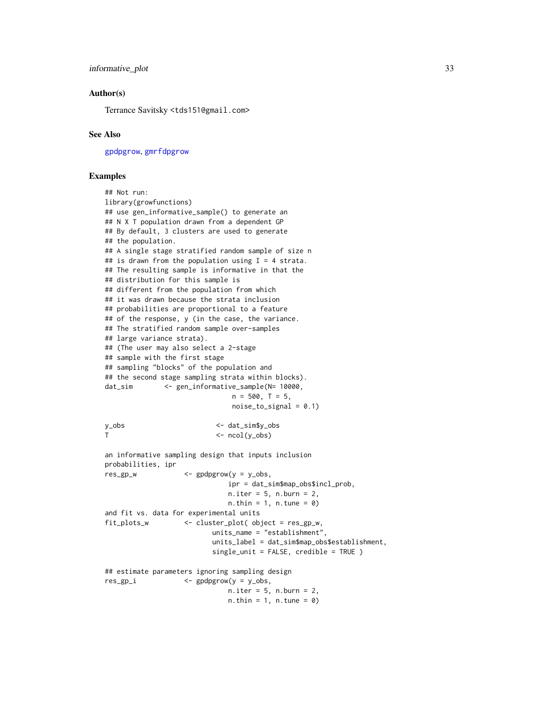## <span id="page-32-0"></span>informative\_plot 33

#### Author(s)

Terrance Savitsky <tds151@gmail.com>

#### See Also

[gpdpgrow](#page-22-1), [gmrfdpgrow](#page-14-1)

# Examples

```
## Not run:
library(growfunctions)
## use gen_informative_sample() to generate an
## N X T population drawn from a dependent GP
## By default, 3 clusters are used to generate
## the population.
## A single stage stratified random sample of size n
## is drawn from the population using I = 4 strata.
## The resulting sample is informative in that the
## distribution for this sample is
## different from the population from which
## it was drawn because the strata inclusion
## probabilities are proportional to a feature
## of the response, y (in the case, the variance.
## The stratified random sample over-samples
## large variance strata).
## (The user may also select a 2-stage
## sample with the first stage
## sampling "blocks" of the population and
## the second stage sampling strata within blocks).
dat_sim <- gen_informative_sample(N= 10000,
                              n = 500, T = 5,
                              noise_to_signal = 0.1)
y_obs <- dat_sim$y_obs
T <- ncol(y_obs)
an informative sampling design that inputs inclusion
probabilities, ipr
res_gp_w <- gpdpgrow(y = y_obs,
                             ipr = dat_sim$map_obs$incl_prob,
                             n.iter = 5, n.burn = 2,
                             n. thin = 1, n. tune = 0)
and fit vs. data for experimental units
fit_plots_w <- cluster_plot( object = res_gp_w,
                         units_name = "establishment",
                          units_label = dat_sim$map_obs$establishment,
                          single_unit = FALSE, credible = TRUE )
## estimate parameters ignoring sampling design
res_gp_i <- gpdpgrow(y = y_obs,
                             n.iter = 5, n.burn = 2,n. thin = 1, n. tune = 0)
```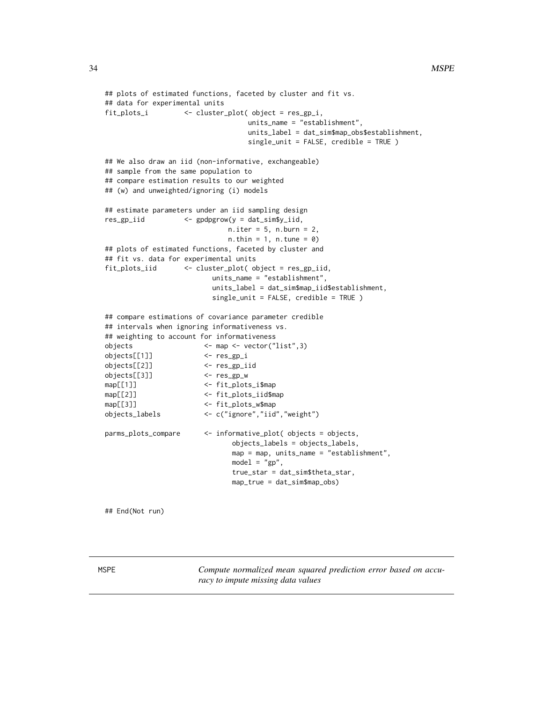```
## plots of estimated functions, faceted by cluster and fit vs.
## data for experimental units
fit_plots_i <- cluster_plot( object = res_gp_i,
                                 units_name = "establishment",
                                 units_label = dat_sim$map_obs$establishment,
                                 single_unit = FALSE, credible = TRUE )
## We also draw an iid (non-informative, exchangeable)
## sample from the same population to
## compare estimation results to our weighted
## (w) and unweighted/ignoring (i) models
## estimate parameters under an iid sampling design
res_gp_iid <- gpdpgrow(y = dat_sim$y_iid,
                            n.iter = 5, n.burn = 2,n. thin = 1, n. tune = 0)
## plots of estimated functions, faceted by cluster and
## fit vs. data for experimental units
fit_plots_iid <- cluster_plot( object = res_gp_iid,
                        units_name = "establishment",
                        units_label = dat_sim$map_iid$establishment,
                        single_unit = FALSE, credible = TRUE )
## compare estimations of covariance parameter credible
## intervals when ignoring informativeness vs.
## weighting to account for informativeness
objects <- map <- vector("list",3)
objects[[1]] <- res_gp_i
objects[[2]] <- res_gp_iid
objects[[3]] <- res_gp_w
map[[1]] <- fit_plots_i$map
map[[2]] <- fit_plots_iid$map
map[[3]] <- fit_plots_w$map
objects_labels <- c("ignore","iid","weight")
parms_plots_compare <- informative_plot( objects = objects,
                             objects_labels = objects_labels,
                             map = map, units_name = "establishment",
                             model = "gp",true_star = dat_sim$theta_star,
                             map_true = dat_sim$map_obs)
```
## End(Not run)

<span id="page-33-1"></span>MSPE *Compute normalized mean squared prediction error based on accuracy to impute missing data values*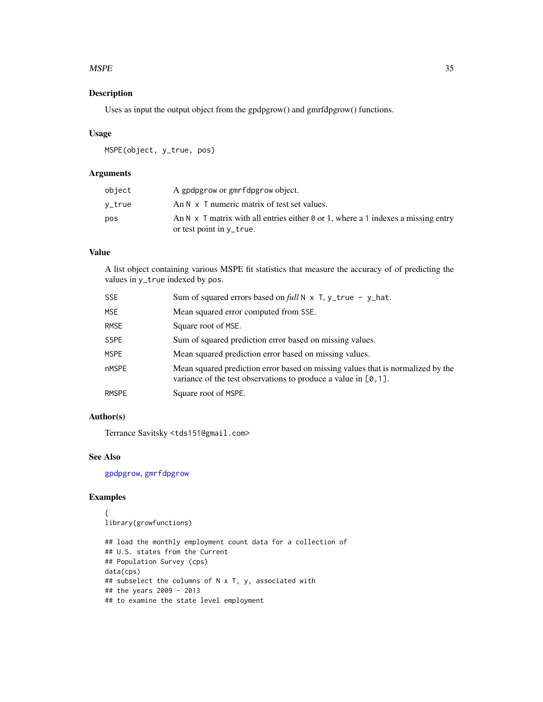#### <span id="page-34-0"></span> $MSPE$  35

# Description

Uses as input the output object from the gpdpgrow() and gmrfdpgrow() functions.

#### Usage

MSPE(object, y\_true, pos)

#### Arguments

| object | A gpdpgrow or gmrfdpgrow object.                                                         |
|--------|------------------------------------------------------------------------------------------|
| v_true | An $N \times T$ numeric matrix of test set values.                                       |
| pos    | An N $\times$ T matrix with all entries either 0 or 1, where a 1 indexes a missing entry |
|        | or test point in y_true.                                                                 |

#### Value

A list object containing various MSPE fit statistics that measure the accuracy of of predicting the values in y\_true indexed by pos.

| SSE         | Sum of squared errors based on $full \, N \times T$ , $y$ _true - $y$ _hat.                                                                           |
|-------------|-------------------------------------------------------------------------------------------------------------------------------------------------------|
| MSE.        | Mean squared error computed from SSE.                                                                                                                 |
| RMSE        | Square root of MSE.                                                                                                                                   |
| SSPE        | Sum of squared prediction error based on missing values.                                                                                              |
| <b>MSPE</b> | Mean squared prediction error based on missing values.                                                                                                |
| nMSPE       | Mean squared prediction error based on missing values that is normalized by the<br>variance of the test observations to produce a value in $[0, 1]$ . |
| RMSPE       | Square root of MSPE.                                                                                                                                  |
|             |                                                                                                                                                       |

# Author(s)

Terrance Savitsky <tds151@gmail.com>

# See Also

[gpdpgrow](#page-22-1), [gmrfdpgrow](#page-14-1)

# Examples

```
{
library(growfunctions)
```

```
## load the monthly employment count data for a collection of
## U.S. states from the Current
## Population Survey (cps)
data(cps)
## subselect the columns of N x T, y, associated with
## the years 2009 - 2013
## to examine the state level employment
```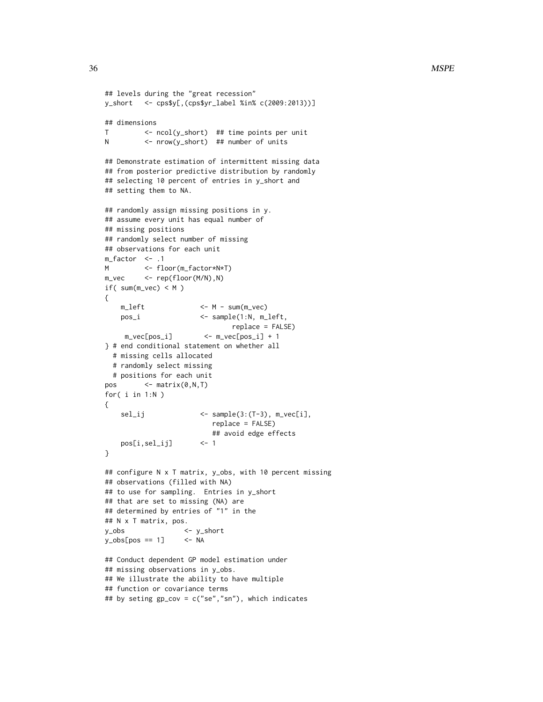```
## levels during the "great recession"
y_short <- cps$y[,(cps$yr_label %in% c(2009:2013))]
## dimensions
T <- ncol(y_short) ## time points per unit
N <- nrow(y_short) ## number of units
## Demonstrate estimation of intermittent missing data
## from posterior predictive distribution by randomly
## selecting 10 percent of entries in y_short and
## setting them to NA.
## randomly assign missing positions in y.
## assume every unit has equal number of
## missing positions
## randomly select number of missing
## observations for each unit
m_factor \leq -1M <- floor(m_factor*N*T)
m_vec <- rep(floor(M/N),N)
if( sum(m\_vec) < M )
{
   m_{\text{left}} <- M - sum(m_vec)
   pos_i <- sample(1:N, m_left,
                              replace = FALSE)
    m\_vec[pos_i] <-m\_vec[pos_i] + 1} # end conditional statement on whether all
 # missing cells allocated
 # randomly select missing
 # positions for each unit
pos <- matrix(0,N,T)
for( i in 1:N )
{
    \text{sel}_{\text{ij}} <- sample(3:(T-3), m_vec[i],
                         replace = FALSE)
                         ## avoid edge effects
   pos[i,sel_ij] <- 1
}
## configure N x T matrix, y_obs, with 10 percent missing
## observations (filled with NA)
## to use for sampling. Entries in y_short
## that are set to missing (NA) are
## determined by entries of "1" in the
## N x T matrix, pos.
y_obs <- y_short
y_obs[pos == 1] <- NA
## Conduct dependent GP model estimation under
## missing observations in y_obs.
## We illustrate the ability to have multiple
## function or covariance terms
```

```
## by seting gp_cov = c("se","sn"), which indicates
```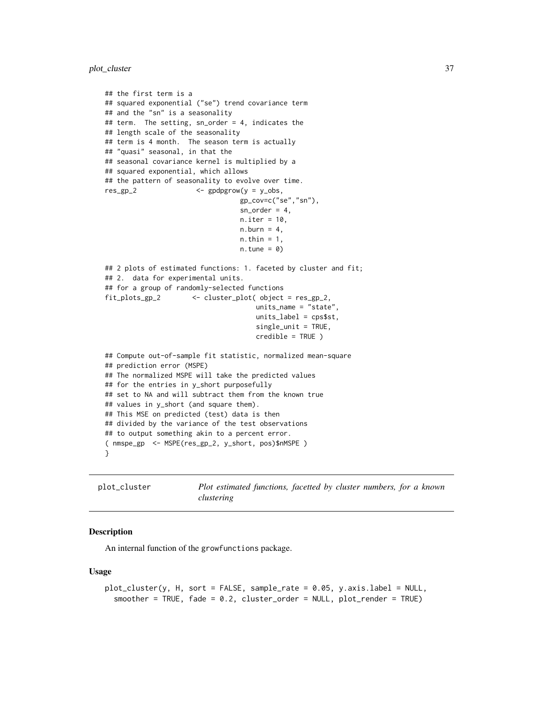```
## the first term is a
## squared exponential ("se") trend covariance term
## and the "sn" is a seasonality
## term. The setting, sn_order = 4, indicates the
## length scale of the seasonality
## term is 4 month. The season term is actually
## "quasi" seasonal, in that the
## seasonal covariance kernel is multiplied by a
## squared exponential, which allows
## the pattern of seasonality to evolve over time.
res_gp_2 <- gpdpgrow(y = y_obs,
                                 gp_cov=c("se","sn"),
                                 sn\_order = 4,
                                 n.iter = 10,
                                 n.burn = 4,
                                 n.thin = 1,
                                 n.tune = 0)## 2 plots of estimated functions: 1. faceted by cluster and fit;
## 2. data for experimental units.
## for a group of randomly-selected functions
fit_plots_gp_2 <- cluster_plot( object = res_gp_2,
                                     units_name = "state",
                                     units_label = cps$st,
                                     single_unit = TRUE,
                                     credible = TRUE )
## Compute out-of-sample fit statistic, normalized mean-square
## prediction error (MSPE)
## The normalized MSPE will take the predicted values
## for the entries in y_short purposefully
## set to NA and will subtract them from the known true
## values in y_short (and square them).
## This MSE on predicted (test) data is then
## divided by the variance of the test observations
## to output something akin to a percent error.
( nmspe_gp <- MSPE(res_gp_2, y_short, pos)$nMSPE )
}
```
plot\_cluster *Plot estimated functions, facetted by cluster numbers, for a known clustering*

#### Description

An internal function of the growfunctions package.

#### Usage

```
plot_cluster(y, H, sort = FALSE, sample_rate = 0.05, y.axis.label = NULL,
  smoother = TRUE, fade = 0.2, cluster_order = NULL, plot_render = TRUE)
```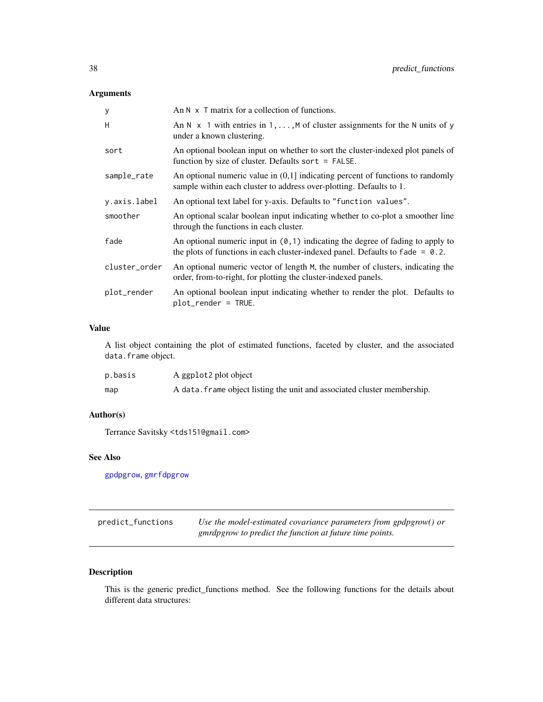# <span id="page-37-0"></span>Arguments

| y             | An $N \times T$ matrix for a collection of functions.                                                                                                                |
|---------------|----------------------------------------------------------------------------------------------------------------------------------------------------------------------|
| H             | An N $\times$ 1 with entries in 1, , M of cluster assignments for the N units of y<br>under a known clustering.                                                      |
| sort          | An optional boolean input on whether to sort the cluster-indexed plot panels of<br>function by size of cluster. Defaults sort $=$ FALSE.                             |
| sample_rate   | An optional numeric value in $(0,1]$ indicating percent of functions to randomly<br>sample within each cluster to address over-plotting. Defaults to 1.              |
| y.axis.label  | An optional text label for y-axis. Defaults to "function values".                                                                                                    |
| smoother      | An optional scalar boolean input indicating whether to co-plot a smoother line<br>through the functions in each cluster.                                             |
| fade          | An optional numeric input in $(0,1)$ indicating the degree of fading to apply to<br>the plots of functions in each cluster-indexed panel. Defaults to fade = $0.2$ . |
| cluster_order | An optional numeric vector of length M, the number of clusters, indicating the<br>order, from-to-right, for plotting the cluster-indexed panels.                     |
| plot_render   | An optional boolean input indicating whether to render the plot. Defaults to<br>$plot$ render = TRUE.                                                                |

# Value

A list object containing the plot of estimated functions, faceted by cluster, and the associated data.frame object.

| p.basis | A ggplot2 plot object                                                    |
|---------|--------------------------------------------------------------------------|
| map     | A data. frame object listing the unit and associated cluster membership. |

# Author(s)

Terrance Savitsky <tds151@gmail.com>

#### See Also

[gpdpgrow](#page-22-1), [gmrfdpgrow](#page-14-1)

<span id="page-37-1"></span>

| predict_functions | Use the model-estimated covariance parameters from gpdpgrow() or |
|-------------------|------------------------------------------------------------------|
|                   | gmrdpgrow to predict the function at future time points.         |

# Description

This is the generic predict\_functions method. See the following functions for the details about different data structures: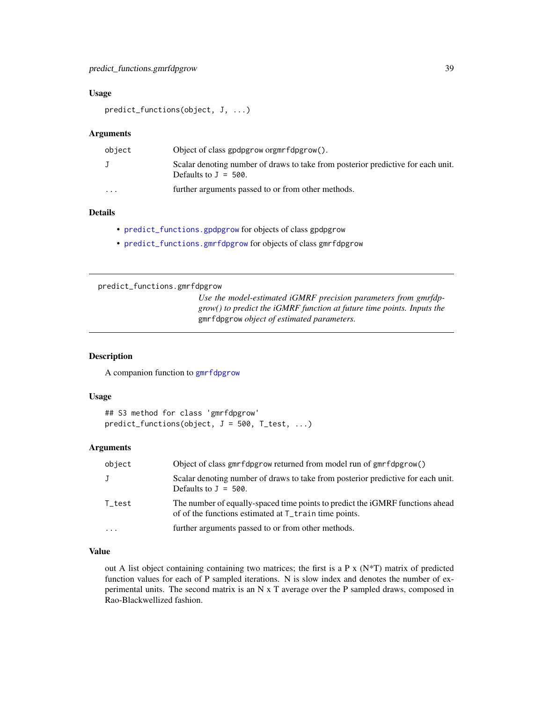#### <span id="page-38-0"></span>Usage

predict\_functions(object, J, ...)

#### Arguments

| object                  | Object of class gpdpgrow orgmrfdpgrow().                                                                    |
|-------------------------|-------------------------------------------------------------------------------------------------------------|
|                         | Scalar denoting number of draws to take from posterior predictive for each unit.<br>Defaults to $J = 500$ . |
| $\cdot$ $\cdot$ $\cdot$ | further arguments passed to or from other methods.                                                          |

#### Details

- [predict\\_functions.gpdpgrow](#page-39-1) for objects of class gpdpgrow
- [predict\\_functions.gmrfdpgrow](#page-38-1) for objects of class gmrfdpgrow

#### <span id="page-38-1"></span>predict\_functions.gmrfdpgrow

*Use the model-estimated iGMRF precision parameters from gmrfdpgrow() to predict the iGMRF function at future time points. Inputs the* gmrfdpgrow *object of estimated parameters.*

#### Description

A companion function to [gmrfdpgrow](#page-14-1)

#### Usage

```
## S3 method for class 'gmrfdpgrow'
predict_functions(object, J = 500, T_test, ...)
```
#### **Arguments**

| object               | Object of class gmr fdpgrow returned from model run of gmr fdpgrow()                                                                   |
|----------------------|----------------------------------------------------------------------------------------------------------------------------------------|
| J                    | Scalar denoting number of draws to take from posterior predictive for each unit.<br>Defaults to $J = 500$ .                            |
| $T_{\rm \perp}$ test | The number of equally-spaced time points to predict the iGMRF functions ahead<br>of of the functions estimated at T_train time points. |
|                      | further arguments passed to or from other methods.                                                                                     |

# Value

out A list object containing containing two matrices; the first is a P x ( $N<sup>*</sup>T$ ) matrix of predicted function values for each of P sampled iterations. N is slow index and denotes the number of experimental units. The second matrix is an N x T average over the P sampled draws, composed in Rao-Blackwellized fashion.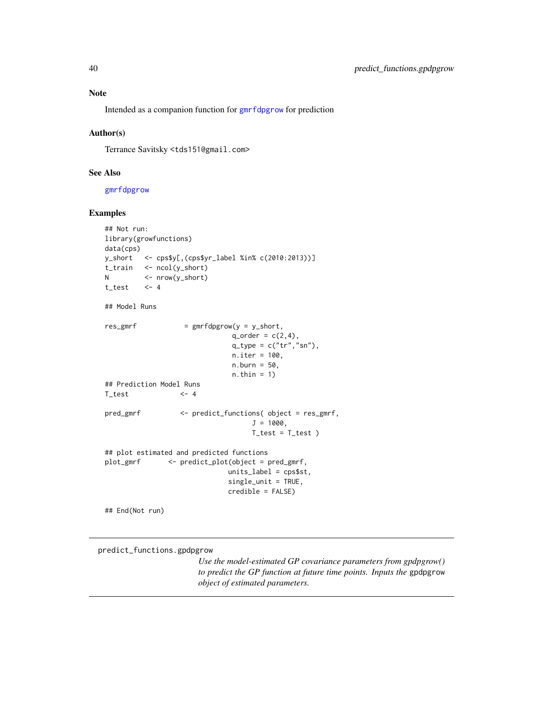Intended as a companion function for [gmrfdpgrow](#page-14-1) for prediction

#### Author(s)

Terrance Savitsky <tds151@gmail.com>

#### See Also

[gmrfdpgrow](#page-14-1)

#### Examples

```
## Not run:
library(growfunctions)
data(cps)
y_short <- cps$y[,(cps$yr_label %in% c(2010:2013))]
t_train <- ncol(y_short)
N <- nrow(y_short)
t\_test <- 4
## Model Runs
res\_gmrf = gmrfdpgrow(y = y\_short,q_{\text{order}} = c(2, 4),
                              q_ttype = c("tr","sn"),
                              n.iter = 100,
                              n.burn = 50,
                              n.thin = 1)
## Prediction Model Runs
T_{\text{test}} <- 4
pred_gmrf <- predict_functions( object = res_gmrf,
                                   J = 1000,T_test = T_test)
## plot estimated and predicted functions
plot_gmrf <- predict_plot(object = pred_gmrf,
                              units_label = cps$st,
                              single_unit = TRUE,
                             credible = FALSE)
## End(Not run)
```
<span id="page-39-1"></span>predict\_functions.gpdpgrow

*Use the model-estimated GP covariance parameters from gpdpgrow() to predict the GP function at future time points. Inputs the* gpdpgrow *object of estimated parameters.*

<span id="page-39-0"></span>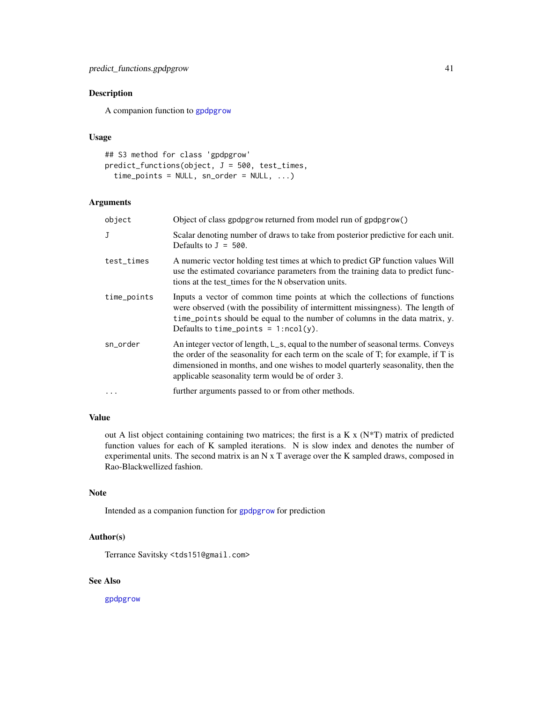# <span id="page-40-0"></span>Description

A companion function to [gpdpgrow](#page-22-1)

#### Usage

```
## S3 method for class 'gpdpgrow'
predict_functions(object, J = 500, test_times,
  time\_points = NULL, sn\_order = NULL, ...
```
# Arguments

| object      | Object of class gpdpgrow returned from model run of gpdpgrow()                                                                                                                                                                                                                                               |
|-------------|--------------------------------------------------------------------------------------------------------------------------------------------------------------------------------------------------------------------------------------------------------------------------------------------------------------|
| J           | Scalar denoting number of draws to take from posterior predictive for each unit.<br>Defaults to $J = 500$ .                                                                                                                                                                                                  |
| test_times  | A numeric vector holding test times at which to predict GP function values Will<br>use the estimated covariance parameters from the training data to predict func-<br>tions at the test_times for the N observation units.                                                                                   |
| time_points | Inputs a vector of common time points at which the collections of functions<br>were observed (with the possibility of intermittent missingness). The length of<br>time_points should be equal to the number of columns in the data matrix, y.<br>Defaults to time_points = $1:ncol(y)$ .                     |
| sn_order    | An integer vector of length, L_s, equal to the number of seasonal terms. Conveys<br>the order of the seasonality for each term on the scale of T; for example, if T is<br>dimensioned in months, and one wishes to model quarterly seasonality, then the<br>applicable seasonality term would be of order 3. |
| $\ddots$ .  | further arguments passed to or from other methods.                                                                                                                                                                                                                                                           |

# Value

out A list object containing containing two matrices; the first is a K x  $(N^*T)$  matrix of predicted function values for each of K sampled iterations. N is slow index and denotes the number of experimental units. The second matrix is an N x T average over the K sampled draws, composed in Rao-Blackwellized fashion.

# Note

Intended as a companion function for [gpdpgrow](#page-22-1) for prediction

## Author(s)

Terrance Savitsky <tds151@gmail.com>

## See Also

[gpdpgrow](#page-22-1)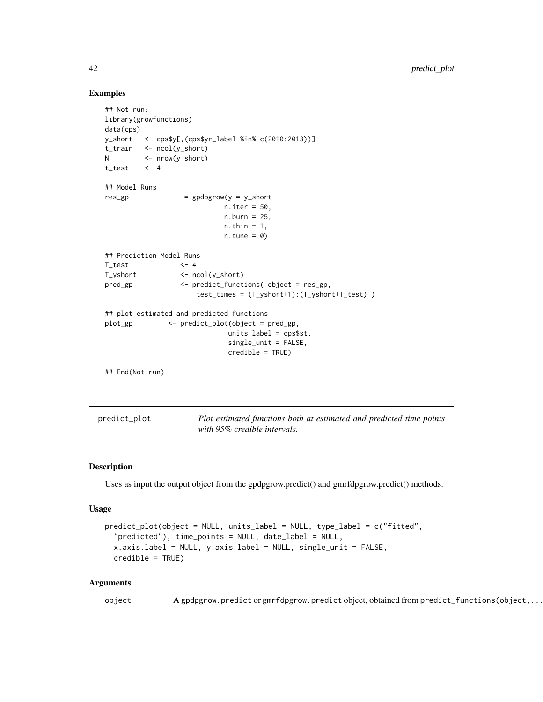#### Examples

```
## Not run:
library(growfunctions)
data(cps)
y_short <- cps$y[,(cps$yr_label %in% c(2010:2013))]
t_train <- ncol(y_short)
N <- nrow(y_short)
t_{\text{test}} \leq 4## Model Runs
res\_gp = gpdpgrow(y = y_short
                           n.iter = 50,
                           n.burn = 25,
                           n.thin = 1,
                           n.tune = 0)## Prediction Model Runs
T_{\text{test}} <- 4
T_yshort <- ncol(y_short)
pred_gp <- predict_functions( object = res_gp,
                     test_times = (T_yshort+1):(T_yshort+T_test) )
## plot estimated and predicted functions
plot_gp <- predict_plot(object = pred_gp,
                             units_label = cps$st,
                             single_unit = FALSE,
                             credible = TRUE)
## End(Not run)
```
<span id="page-41-1"></span>predict\_plot *Plot estimated functions both at estimated and predicted time points with 95% credible intervals.*

#### Description

Uses as input the output object from the gpdpgrow.predict() and gmrfdpgrow.predict() methods.

#### Usage

```
predict_plot(object = NULL, units_label = NULL, type_label = c("fitted",
  "predicted"), time_points = NULL, date_label = NULL,
  x.axis.label = NULL, y.axis.label = NULL, single_unit = FALSE,
 credible = TRUE)
```
#### Arguments

object A gpdpgrow.predict or gmrfdpgrow.predict object, obtained from predict\_functions(object,...

<span id="page-41-0"></span>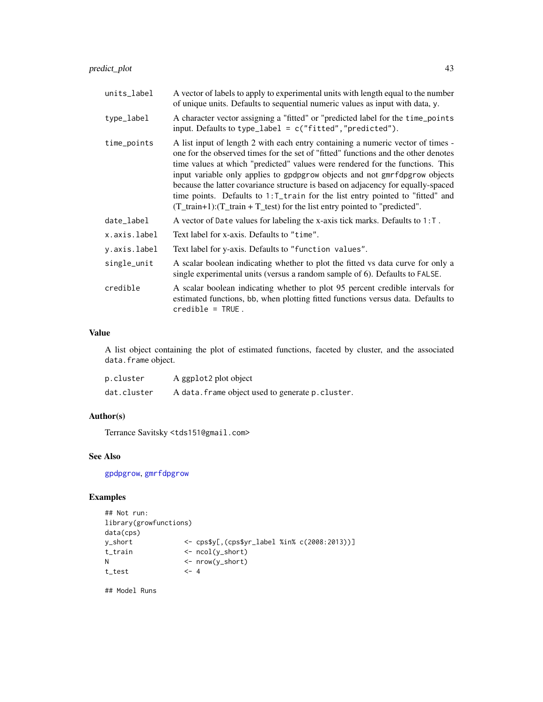<span id="page-42-0"></span>

| units_label  | A vector of labels to apply to experimental units with length equal to the number<br>of unique units. Defaults to sequential numeric values as input with data, y.                                                                                                                                                                                                                                                                                                                                                                                                                                  |
|--------------|-----------------------------------------------------------------------------------------------------------------------------------------------------------------------------------------------------------------------------------------------------------------------------------------------------------------------------------------------------------------------------------------------------------------------------------------------------------------------------------------------------------------------------------------------------------------------------------------------------|
| type_label   | A character vector assigning a "fitted" or "predicted label for the time_points<br>input. Defaults to type_label = $c("fitted", "predicted").$                                                                                                                                                                                                                                                                                                                                                                                                                                                      |
| time_points  | A list input of length 2 with each entry containing a numeric vector of times -<br>one for the observed times for the set of "fitted" functions and the other denotes<br>time values at which "predicted" values were rendered for the functions. This<br>input variable only applies to gpdpgrow objects and not gmrfdpgrow objects<br>because the latter covariance structure is based on adjacency for equally-spaced<br>time points. Defaults to 1: T_train for the list entry pointed to "fitted" and<br>$(T_{train+1})$ : $(T_{train + T_{test}})$ for the list entry pointed to "predicted". |
| date_label   | A vector of Date values for labeling the x-axis tick marks. Defaults to $1: T$ .                                                                                                                                                                                                                                                                                                                                                                                                                                                                                                                    |
| x.axis.label | Text label for x-axis. Defaults to "time".                                                                                                                                                                                                                                                                                                                                                                                                                                                                                                                                                          |
| y.axis.label | Text label for y-axis. Defaults to "function values".                                                                                                                                                                                                                                                                                                                                                                                                                                                                                                                                               |
| single_unit  | A scalar boolean indicating whether to plot the fitted vs data curve for only a<br>single experimental units (versus a random sample of 6). Defaults to FALSE.                                                                                                                                                                                                                                                                                                                                                                                                                                      |
| credible     | A scalar boolean indicating whether to plot 95 percent credible intervals for<br>estimated functions, bb, when plotting fitted functions versus data. Defaults to<br>$credible = TRUE$ .                                                                                                                                                                                                                                                                                                                                                                                                            |

#### Value

A list object containing the plot of estimated functions, faceted by cluster, and the associated data.frame object.

| p.cluster   | A ggplot2 plot object                             |
|-------------|---------------------------------------------------|
| dat.cluster | A data. frame object used to generate p. cluster. |

# Author(s)

Terrance Savitsky <tds151@gmail.com>

# See Also

[gpdpgrow](#page-22-1), [gmrfdpgrow](#page-14-1)

# Examples

```
## Not run:
library(growfunctions)
data(cps)
y_short <- cps$y[,(cps$yr_label %in% c(2008:2013))]
t_train <- ncol(y_short)
N <- nrow(y_short)
t_{\text{test}} <- 4
```
## Model Runs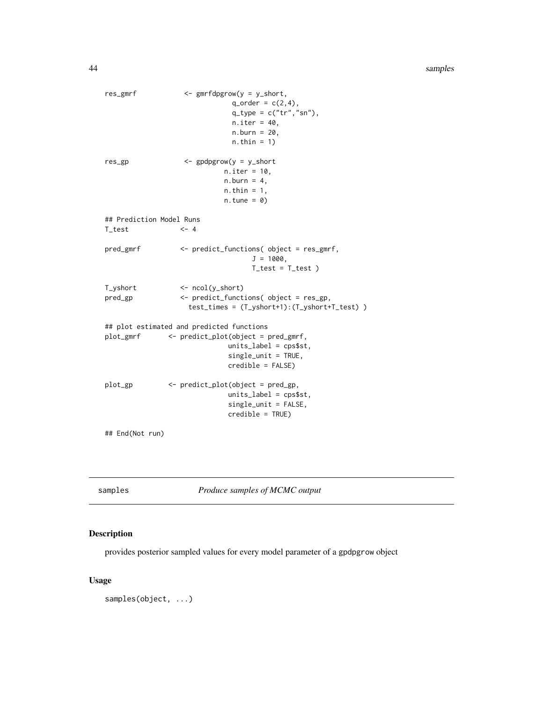```
res_gmrf <- gmrfdpgrow(y = y_short,
                             q_{\text{order}} = c(2, 4),
                             q_t ype = c("tr", "sn"),
                             n.iter = 40,
                             n.burn = 20,
                             n.thin = 1)
res_gp <- gpdpgrow(y = y_short
                           n.iter = 10,
                           n.burn = 4,
                           n.thin = 1,
                           n.tune = 0)## Prediction Model Runs
T_{\text{test}} <- 4
pred_gmrf <- predict_functions( object = res_gmrf,
                                  J = 1000,T_test = T_test )
T_yshort <- ncol(y_short)
pred_gp <- predict_functions( object = res_gp,
                   test_times = (T_yshort+1):(T_yshort+T_test) )
## plot estimated and predicted functions
plot_gmrf <- predict_plot(object = pred_gmrf,
                            units_label = cps$st,
                            single_unit = TRUE,
                            credible = FALSE)
plot_gp <- predict_plot(object = pred_gp,
                            units_label = cps$st,
                            single_unit = FALSE,
                            credible = TRUE)
```
## End(Not run)

samples *Produce samples of MCMC output*

#### Description

provides posterior sampled values for every model parameter of a gpdpgrow object

## Usage

samples(object, ...)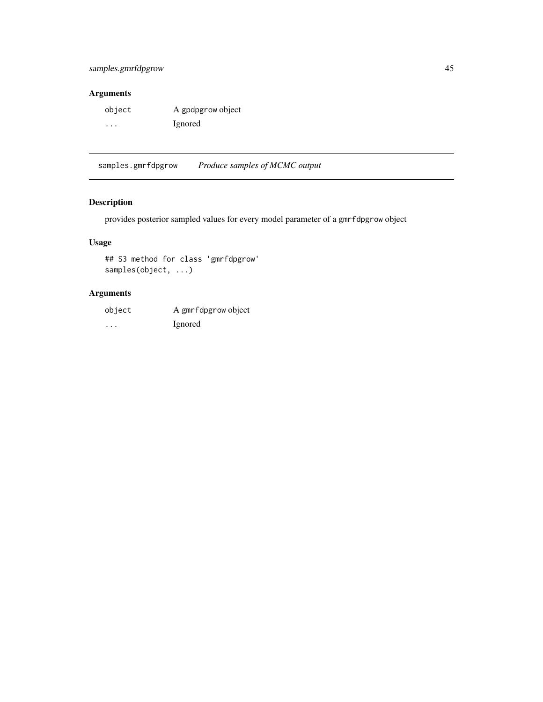# <span id="page-44-0"></span>samples.gmrfdpgrow 45

# Arguments

| object | A gpdpgrow object |
|--------|-------------------|
| .      | Ignored           |

samples.gmrfdpgrow *Produce samples of MCMC output*

# Description

provides posterior sampled values for every model parameter of a gmrfdpgrow object

# Usage

```
## S3 method for class 'gmrfdpgrow'
samples(object, ...)
```

| object | A gmrfdpgrow object |
|--------|---------------------|
| .      | <i>l</i> gnored     |